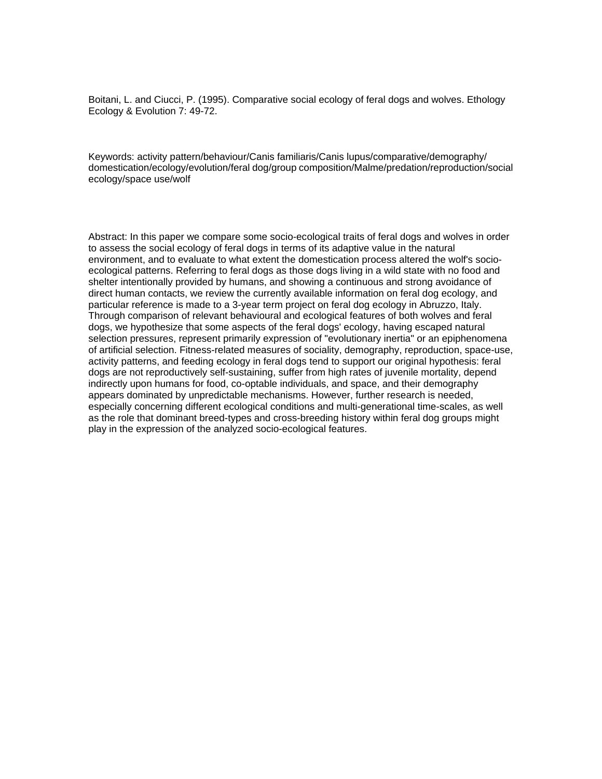Boitani, L. and Ciucci, P. (1995). Comparative social ecology of feral dogs and wolves. Ethology Ecology & Evolution 7: 49-72.

Keywords: activity pattern/behaviour/Canis familiaris/Canis lupus/comparative/demography/ domestication/ecology/evolution/feral dog/group composition/Malme/predation/reproduction/social ecology/space use/wolf

Abstract: In this paper we compare some socio-ecological traits of feral dogs and wolves in order to assess the social ecology of feral dogs in terms of its adaptive value in the natural environment, and to evaluate to what extent the domestication process altered the wolf's socioecological patterns. Referring to feral dogs as those dogs living in a wild state with no food and shelter intentionally provided by humans, and showing a continuous and strong avoidance of direct human contacts, we review the currently available information on feral dog ecology, and particular reference is made to a 3-year term project on feral dog ecology in Abruzzo, Italy. Through comparison of relevant behavioural and ecological features of both wolves and feral dogs, we hypothesize that some aspects of the feral dogs' ecology, having escaped natural selection pressures, represent primarily expression of "evolutionary inertia" or an epiphenomena of artificial selection. Fitness-related measures of sociality, demography, reproduction, space-use, activity patterns, and feeding ecology in feral dogs tend to support our original hypothesis: feral dogs are not reproductively self-sustaining, suffer from high rates of juvenile mortality, depend indirectly upon humans for food, co-optable individuals, and space, and their demography appears dominated by unpredictable mechanisms. However, further research is needed, especially concerning different ecological conditions and multi-generational time-scales, as well as the role that dominant breed-types and cross-breeding history within feral dog groups might play in the expression of the analyzed socio-ecological features.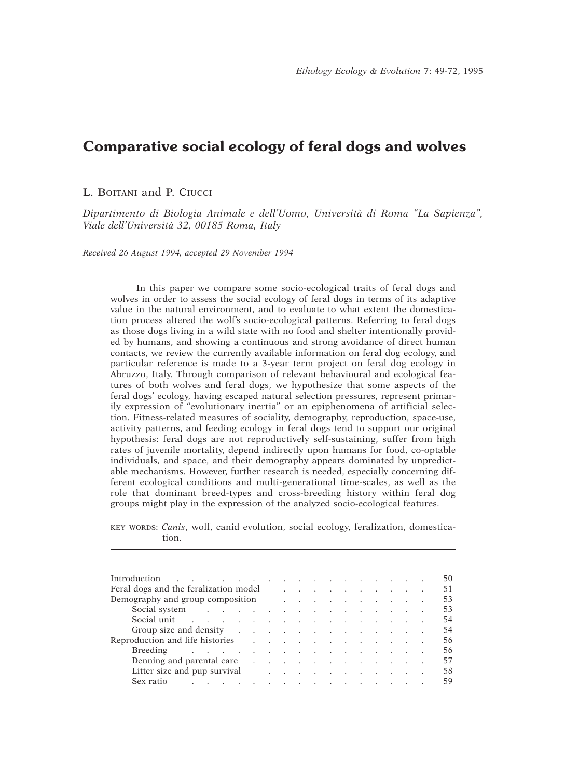# **Comparative social ecology of feral dogs and wolves**

# L. BOITANI and P. CIUCCI

*Dipartimento di Biologia Animale e dell'Uomo, Università di Roma "La Sapienza", Viale dell'Università 32, 00185 Roma, Italy*

*Received 26 August 1994, accepted 29 November 1994*

In this paper we compare some socio-ecological traits of feral dogs and wolves in order to assess the social ecology of feral dogs in terms of its adaptive value in the natural environment, and to evaluate to what extent the domestication process altered the wolf's socio-ecological patterns. Referring to feral dogs as those dogs living in a wild state with no food and shelter intentionally provided by humans, and showing a continuous and strong avoidance of direct human contacts, we review the currently available information on feral dog ecology, and particular reference is made to a 3-year term project on feral dog ecology in Abruzzo, Italy. Through comparison of relevant behavioural and ecological features of both wolves and feral dogs, we hypothesize that some aspects of the feral dogs' ecology, having escaped natural selection pressures, represent primarily expression of "evolutionary inertia" or an epiphenomena of artificial selection. Fitness-related measures of sociality, demography, reproduction, space-use, activity patterns, and feeding ecology in feral dogs tend to support our original hypothesis: feral dogs are not reproductively self-sustaining, suffer from high rates of juvenile mortality, depend indirectly upon humans for food, co-optable individuals, and space, and their demography appears dominated by unpredictable mechanisms. However, further research is needed, especially concerning different ecological conditions and multi-generational time-scales, as well as the role that dominant breed-types and cross-breeding history within feral dog groups might play in the expression of the analyzed socio-ecological features.

KEY WORDS: *Canis*, wolf, canid evolution, social ecology, feralization, domestication.

|  |  |  |  |  |                                                                                                                 | 50.                                                                                                                                                                                                                                                                                                                                                                                                                                                                                                                                                                                                                                                                                                                                                                                                                                                                                                                                                                                                                                                                                                                                                                                                                                                                                                                                                                                                                                                                                                                                                                                                                                                                                                                                                                                                                               |
|--|--|--|--|--|-----------------------------------------------------------------------------------------------------------------|-----------------------------------------------------------------------------------------------------------------------------------------------------------------------------------------------------------------------------------------------------------------------------------------------------------------------------------------------------------------------------------------------------------------------------------------------------------------------------------------------------------------------------------------------------------------------------------------------------------------------------------------------------------------------------------------------------------------------------------------------------------------------------------------------------------------------------------------------------------------------------------------------------------------------------------------------------------------------------------------------------------------------------------------------------------------------------------------------------------------------------------------------------------------------------------------------------------------------------------------------------------------------------------------------------------------------------------------------------------------------------------------------------------------------------------------------------------------------------------------------------------------------------------------------------------------------------------------------------------------------------------------------------------------------------------------------------------------------------------------------------------------------------------------------------------------------------------|
|  |  |  |  |  |                                                                                                                 | 51                                                                                                                                                                                                                                                                                                                                                                                                                                                                                                                                                                                                                                                                                                                                                                                                                                                                                                                                                                                                                                                                                                                                                                                                                                                                                                                                                                                                                                                                                                                                                                                                                                                                                                                                                                                                                                |
|  |  |  |  |  |                                                                                                                 | 53                                                                                                                                                                                                                                                                                                                                                                                                                                                                                                                                                                                                                                                                                                                                                                                                                                                                                                                                                                                                                                                                                                                                                                                                                                                                                                                                                                                                                                                                                                                                                                                                                                                                                                                                                                                                                                |
|  |  |  |  |  |                                                                                                                 | 53                                                                                                                                                                                                                                                                                                                                                                                                                                                                                                                                                                                                                                                                                                                                                                                                                                                                                                                                                                                                                                                                                                                                                                                                                                                                                                                                                                                                                                                                                                                                                                                                                                                                                                                                                                                                                                |
|  |  |  |  |  |                                                                                                                 | 54                                                                                                                                                                                                                                                                                                                                                                                                                                                                                                                                                                                                                                                                                                                                                                                                                                                                                                                                                                                                                                                                                                                                                                                                                                                                                                                                                                                                                                                                                                                                                                                                                                                                                                                                                                                                                                |
|  |  |  |  |  |                                                                                                                 | 54                                                                                                                                                                                                                                                                                                                                                                                                                                                                                                                                                                                                                                                                                                                                                                                                                                                                                                                                                                                                                                                                                                                                                                                                                                                                                                                                                                                                                                                                                                                                                                                                                                                                                                                                                                                                                                |
|  |  |  |  |  |                                                                                                                 | 56                                                                                                                                                                                                                                                                                                                                                                                                                                                                                                                                                                                                                                                                                                                                                                                                                                                                                                                                                                                                                                                                                                                                                                                                                                                                                                                                                                                                                                                                                                                                                                                                                                                                                                                                                                                                                                |
|  |  |  |  |  |                                                                                                                 | 56                                                                                                                                                                                                                                                                                                                                                                                                                                                                                                                                                                                                                                                                                                                                                                                                                                                                                                                                                                                                                                                                                                                                                                                                                                                                                                                                                                                                                                                                                                                                                                                                                                                                                                                                                                                                                                |
|  |  |  |  |  |                                                                                                                 | 57                                                                                                                                                                                                                                                                                                                                                                                                                                                                                                                                                                                                                                                                                                                                                                                                                                                                                                                                                                                                                                                                                                                                                                                                                                                                                                                                                                                                                                                                                                                                                                                                                                                                                                                                                                                                                                |
|  |  |  |  |  |                                                                                                                 | 58                                                                                                                                                                                                                                                                                                                                                                                                                                                                                                                                                                                                                                                                                                                                                                                                                                                                                                                                                                                                                                                                                                                                                                                                                                                                                                                                                                                                                                                                                                                                                                                                                                                                                                                                                                                                                                |
|  |  |  |  |  |                                                                                                                 | 59                                                                                                                                                                                                                                                                                                                                                                                                                                                                                                                                                                                                                                                                                                                                                                                                                                                                                                                                                                                                                                                                                                                                                                                                                                                                                                                                                                                                                                                                                                                                                                                                                                                                                                                                                                                                                                |
|  |  |  |  |  | the contract of the contract of the contract of the contract of the contract of the contract of the contract of | the contract of the contract of the contract of the contract of the contract of the contract of the contract of<br>Feral dogs and the feralization model example the contract of the contract of the contract of the contract of the contract of the contract of the contract of the contract of the contract of the contract of the contract of<br>Demography and group composition and the set of the set of the set of the set of the set of the set of the set of the set of the set of the set of the set of the set of the set of the set of the set of the set of the set o<br>Social system and the contract of the contract of the contract of the contract of the contract of the contract of the contract of the contract of the contract of the contract of the contract of the contract of the contract<br>Social unit device and the contract of the contract of the contract of the contract of the contract of the contract of the contract of the contract of the contract of the contract of the contract of the contract of the con<br>Group size and density the state of the state of the state of the state of the state of the state of the state of the state of the state of the state of the state of the state of the state of the state of the state of the<br>Reproduction and life histories and the series and the histories and the histories and the series of the series of the series of the series of the series of the series of the series of the series of the series of the serie<br>Denning and parental care and the contract of the contract of the contract of the contract of the contract of the contract of the contract of the contract of the contract of the contract of the contract of the contract of<br>Litter size and pup survival expansion of the size and pup survival |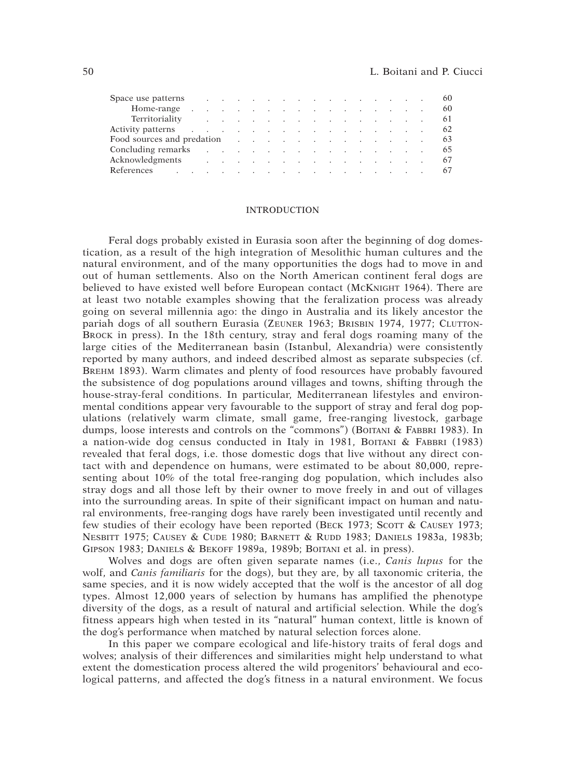| Space use patterns and the contract of the space use patterns and the contract of the space of the contract of the space of the space of the space of the space of the space of the space of the space of the space of the spa     |  |  |  |  |  |                                                                                 |  |  | 60 |
|------------------------------------------------------------------------------------------------------------------------------------------------------------------------------------------------------------------------------------|--|--|--|--|--|---------------------------------------------------------------------------------|--|--|----|
| Home-range expected a series of the series of the series of the series of the series of the series of the series of the series of the series of the series of the series of the series of the series of the series of the seri     |  |  |  |  |  |                                                                                 |  |  | 60 |
| Territoriality                                                                                                                                                                                                                     |  |  |  |  |  |                                                                                 |  |  | 61 |
| Activity patterns                                                                                                                                                                                                                  |  |  |  |  |  | the contract of the contract of the contract of the contract of the contract of |  |  | 62 |
| Food sources and predation resources and predation resources and predation                                                                                                                                                         |  |  |  |  |  |                                                                                 |  |  | 63 |
| Concluding remarks and the concluding remarks and the concluding remarks and the concluding remarks and the concluding remarks and the concluding remarks of the concluding $\alpha$ of the concluding remarks of the concluding r |  |  |  |  |  |                                                                                 |  |  | 65 |
| Acknowledgments                                                                                                                                                                                                                    |  |  |  |  |  |                                                                                 |  |  | 67 |
| References<br>the contract of the contract of the contract of the contract of the contract of the contract of the contract of                                                                                                      |  |  |  |  |  |                                                                                 |  |  | 67 |
|                                                                                                                                                                                                                                    |  |  |  |  |  |                                                                                 |  |  |    |

#### INTRODUCTION

Feral dogs probably existed in Eurasia soon after the beginning of dog domestication, as a result of the high integration of Mesolithic human cultures and the natural environment, and of the many opportunities the dogs had to move in and out of human settlements. Also on the North American continent feral dogs are believed to have existed well before European contact (MCKNIGHT 1964). There are at least two notable examples showing that the feralization process was already going on several millennia ago: the dingo in Australia and its likely ancestor the pariah dogs of all southern Eurasia (ZEUNER 1963; BRISBIN 1974, 1977; CLUTTON-BROCK in press). In the 18th century, stray and feral dogs roaming many of the large cities of the Mediterranean basin (Istanbul, Alexandria) were consistently reported by many authors, and indeed described almost as separate subspecies (cf. BREHM 1893). Warm climates and plenty of food resources have probably favoured the subsistence of dog populations around villages and towns, shifting through the house-stray-feral conditions. In particular, Mediterranean lifestyles and environmental conditions appear very favourable to the support of stray and feral dog populations (relatively warm climate, small game, free-ranging livestock, garbage dumps, loose interests and controls on the "commons") (BOITANI & FABBRI 1983). In a nation-wide dog census conducted in Italy in 1981, BOITANI & FABBRI (1983) revealed that feral dogs, i.e. those domestic dogs that live without any direct contact with and dependence on humans, were estimated to be about 80,000, representing about 10% of the total free-ranging dog population, which includes also stray dogs and all those left by their owner to move freely in and out of villages into the surrounding areas. In spite of their significant impact on human and natural environments, free-ranging dogs have rarely been investigated until recently and few studies of their ecology have been reported (BECK 1973; SCOTT & CAUSEY 1973; NESBITT 1975; CAUSEY & CUDE 1980; BARNETT & RUDD 1983; DANIELS 1983a, 1983b; GIPSON 1983; DANIELS & BEKOFF 1989a, 1989b; BOITANI et al. in press).

Wolves and dogs are often given separate names (i.e., *Canis lupus* for the wolf, and *Canis familiaris* for the dogs), but they are, by all taxonomic criteria, the same species, and it is now widely accepted that the wolf is the ancestor of all dog types. Almost 12,000 years of selection by humans has amplified the phenotype diversity of the dogs, as a result of natural and artificial selection. While the dog's fitness appears high when tested in its "natural" human context, little is known of the dog's performance when matched by natural selection forces alone.

In this paper we compare ecological and life-history traits of feral dogs and wolves; analysis of their differences and similarities might help understand to what extent the domestication process altered the wild progenitors' behavioural and ecological patterns, and affected the dog's fitness in a natural environment. We focus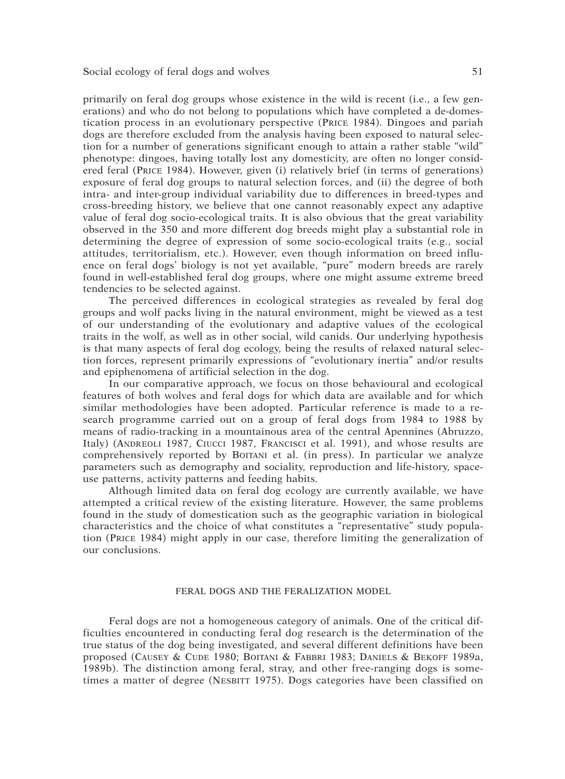primarily on feral dog groups whose existence in the wild is recent (i.e., a few generations) and who do not belong to populations which have completed a de-domestication process in an evolutionary perspective (PRICE 1984). Dingoes and pariah dogs are therefore excluded from the analysis having been exposed to natural selection for a number of generations significant enough to attain a rather stable "wild" phenotype: dingoes, having totally lost any domesticity, are often no longer considered feral (PRICE 1984). However, given (i) relatively brief (in terms of generations) exposure of feral dog groups to natural selection forces, and (ii) the degree of both intra- and inter-group individual variability due to differences in breed-types and cross-breeding history, we believe that one cannot reasonably expect any adaptive value of feral dog socio-ecological traits. It is also obvious that the great variability observed in the 350 and more different dog breeds might play a substantial role in determining the degree of expression of some socio-ecological traits (e.g., social attitudes, territorialism, etc.). However, even though information on breed influence on feral dogs' biology is not yet available, "pure" modern breeds are rarely found in well-established feral dog groups, where one might assume extreme breed tendencies to be selected against.

The perceived differences in ecological strategies as revealed by feral dog groups and wolf packs living in the natural environment, might be viewed as a test of our understanding of the evolutionary and adaptive values of the ecological traits in the wolf, as well as in other social, wild canids. Our underlying hypothesis is that many aspects of feral dog ecology, being the results of relaxed natural selection forces, represent primarily expressions of "evolutionary inertia" and/or results and epiphenomena of artificial selection in the dog.

In our comparative approach, we focus on those behavioural and ecological features of both wolves and feral dogs for which data are available and for which similar methodologies have been adopted. Particular reference is made to a research programme carried out on a group of feral dogs from 1984 to 1988 by means of radio-tracking in a mountainous area of the central Apennines (Abruzzo, Italy) (ANDREOLI 1987, CIUCCI 1987, FRANCISCI et al. 1991), and whose results are comprehensively reported by BOITANI et al. (in press). In particular we analyze parameters such as demography and sociality, reproduction and life-history, spaceuse patterns, activity patterns and feeding habits.

Although limited data on feral dog ecology are currently available, we have attempted a critical review of the existing literature. However, the same problems found in the study of domestication such as the geographic variation in biological characteristics and the choice of what constitutes a "representative" study population (PRICE 1984) might apply in our case, therefore limiting the generalization of our conclusions.

# FERAL DOGS AND THE FERALIZATION MODEL

Feral dogs are not a homogeneous category of animals. One of the critical difficulties encountered in conducting feral dog research is the determination of the true status of the dog being investigated, and several different definitions have been proposed (CAUSEY & CUDE 1980; BOITANI & FABBRI 1983; DANIELS & BEKOFF 1989a, 1989b). The distinction among feral, stray, and other free-ranging dogs is sometimes a matter of degree (NESBITT 1975). Dogs categories have been classified on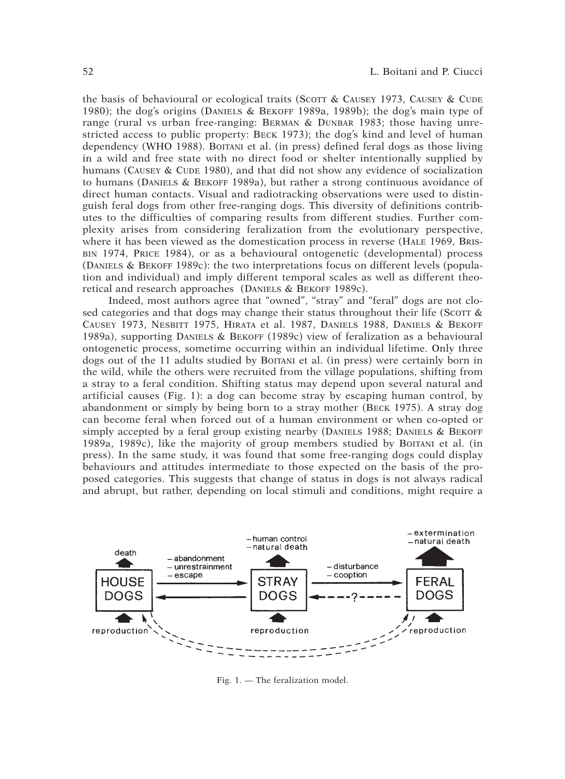the basis of behavioural or ecological traits (SCOTT & CAUSEY 1973, CAUSEY & CUDE 1980); the dog's origins (DANIELS & BEKOFF 1989a, 1989b); the dog's main type of range (rural vs urban free-ranging: BERMAN & DUNBAR 1983; those having unrestricted access to public property: BECK 1973); the dog's kind and level of human dependency (WHO 1988). BOITANI et al. (in press) defined feral dogs as those living in a wild and free state with no direct food or shelter intentionally supplied by humans (CAUSEY & CUDE 1980), and that did not show any evidence of socialization to humans (DANIELS & BEKOFF 1989a), but rather a strong continuous avoidance of direct human contacts. Visual and radiotracking observations were used to distinguish feral dogs from other free-ranging dogs. This diversity of definitions contributes to the difficulties of comparing results from different studies. Further complexity arises from considering feralization from the evolutionary perspective, where it has been viewed as the domestication process in reverse (HALE 1969, BRIS-BIN 1974, PRICE 1984), or as a behavioural ontogenetic (developmental) process (DANIELS & BEKOFF 1989c): the two interpretations focus on different levels (population and individual) and imply different temporal scales as well as different theoretical and research approaches (DANIELS & BEKOFF 1989c).

Indeed, most authors agree that "owned", "stray" and "feral" dogs are not closed categories and that dogs may change their status throughout their life (SCOTT  $\&$ CAUSEY 1973, NESBITT 1975, HIRATA et al. 1987, DANIELS 1988, DANIELS & BEKOFF 1989a), supporting DANIELS & BEKOFF (1989c) view of feralization as a behavioural ontogenetic process, sometime occurring within an individual lifetime. Only three dogs out of the 11 adults studied by BOITANI et al. (in press) were certainly born in the wild, while the others were recruited from the village populations, shifting from a stray to a feral condition. Shifting status may depend upon several natural and artificial causes (Fig. 1): a dog can become stray by escaping human control, by abandonment or simply by being born to a stray mother (BECK 1975). A stray dog can become feral when forced out of a human environment or when co-opted or simply accepted by a feral group existing nearby (DANIELS 1988; DANIELS & BEKOFF 1989a, 1989c), like the majority of group members studied by BOITANI et al. (in press). In the same study, it was found that some free-ranging dogs could display behaviours and attitudes intermediate to those expected on the basis of the proposed categories. This suggests that change of status in dogs is not always radical and abrupt, but rather, depending on local stimuli and conditions, might require a



Fig. 1. — The feralization model.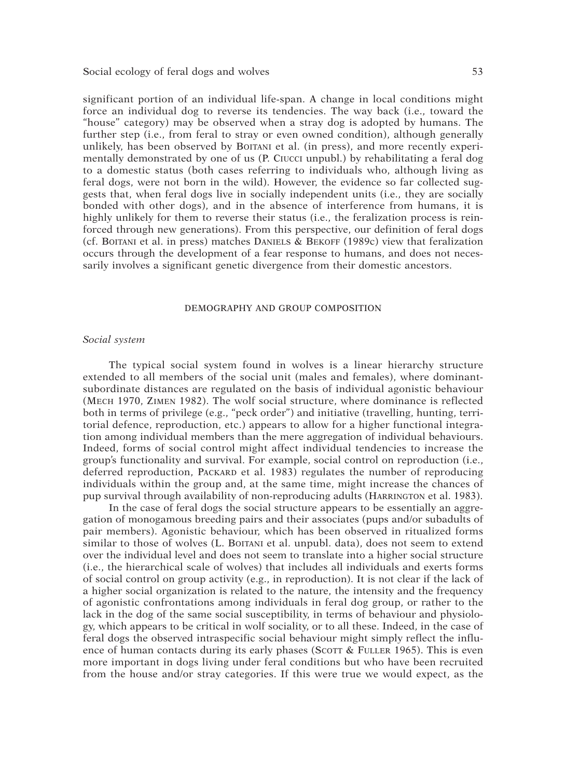significant portion of an individual life-span. A change in local conditions might force an individual dog to reverse its tendencies. The way back (i.e., toward the "house" category) may be observed when a stray dog is adopted by humans. The further step (i.e., from feral to stray or even owned condition), although generally unlikely, has been observed by BOITANI et al. (in press), and more recently experimentally demonstrated by one of us (P. CIUCCI unpubl.) by rehabilitating a feral dog to a domestic status (both cases referring to individuals who, although living as feral dogs, were not born in the wild). However, the evidence so far collected suggests that, when feral dogs live in socially independent units (i.e., they are socially bonded with other dogs), and in the absence of interference from humans, it is highly unlikely for them to reverse their status (i.e., the feralization process is reinforced through new generations). From this perspective, our definition of feral dogs (cf. BOITANI et al. in press) matches DANIELS & BEKOFF (1989c) view that feralization occurs through the development of a fear response to humans, and does not necessarily involves a significant genetic divergence from their domestic ancestors.

### DEMOGRAPHY AND GROUP COMPOSITION

# *Social system*

The typical social system found in wolves is a linear hierarchy structure extended to all members of the social unit (males and females), where dominantsubordinate distances are regulated on the basis of individual agonistic behaviour (MECH 1970, ZIMEN 1982). The wolf social structure, where dominance is reflected both in terms of privilege (e.g., "peck order") and initiative (travelling, hunting, territorial defence, reproduction, etc.) appears to allow for a higher functional integration among individual members than the mere aggregation of individual behaviours. Indeed, forms of social control might affect individual tendencies to increase the group's functionality and survival. For example, social control on reproduction (i.e., deferred reproduction, PACKARD et al. 1983) regulates the number of reproducing individuals within the group and, at the same time, might increase the chances of pup survival through availability of non-reproducing adults (HARRINGTON et al. 1983).

In the case of feral dogs the social structure appears to be essentially an aggregation of monogamous breeding pairs and their associates (pups and/or subadults of pair members). Agonistic behaviour, which has been observed in ritualized forms similar to those of wolves (L. BOITANI et al. unpubl. data), does not seem to extend over the individual level and does not seem to translate into a higher social structure (i.e., the hierarchical scale of wolves) that includes all individuals and exerts forms of social control on group activity (e.g., in reproduction). It is not clear if the lack of a higher social organization is related to the nature, the intensity and the frequency of agonistic confrontations among individuals in feral dog group, or rather to the lack in the dog of the same social susceptibility, in terms of behaviour and physiology, which appears to be critical in wolf sociality, or to all these. Indeed, in the case of feral dogs the observed intraspecific social behaviour might simply reflect the influence of human contacts during its early phases (Scorr & FULLER 1965). This is even more important in dogs living under feral conditions but who have been recruited from the house and/or stray categories. If this were true we would expect, as the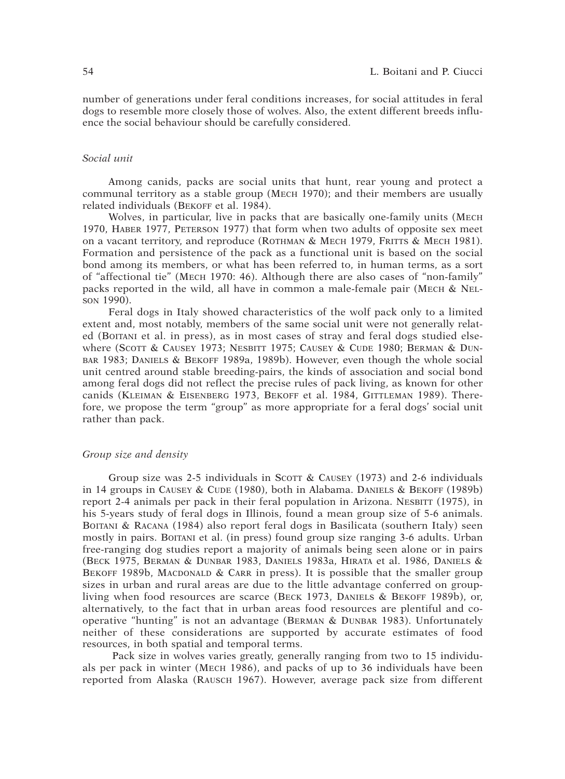number of generations under feral conditions increases, for social attitudes in feral dogs to resemble more closely those of wolves. Also, the extent different breeds influence the social behaviour should be carefully considered.

### *Social unit*

Among canids, packs are social units that hunt, rear young and protect a communal territory as a stable group (MECH 1970); and their members are usually related individuals (BEKOFF et al. 1984).

Wolves, in particular, live in packs that are basically one-family units (MECH 1970, HABER 1977, PETERSON 1977) that form when two adults of opposite sex meet on a vacant territory, and reproduce (ROTHMAN & MECH 1979, FRITTS & MECH 1981). Formation and persistence of the pack as a functional unit is based on the social bond among its members, or what has been referred to, in human terms, as a sort of "affectional tie" (MECH 1970: 46). Although there are also cases of "non-family" packs reported in the wild, all have in common a male-female pair (MECH  $\&$  NEL-SON 1990).

Feral dogs in Italy showed characteristics of the wolf pack only to a limited extent and, most notably, members of the same social unit were not generally related (BOITANI et al. in press), as in most cases of stray and feral dogs studied elsewhere (SCOTT & CAUSEY 1973; NESBITT 1975; CAUSEY & CUDE 1980; BERMAN & DUN-BAR 1983; DANIELS & BEKOFF 1989a, 1989b). However, even though the whole social unit centred around stable breeding-pairs, the kinds of association and social bond among feral dogs did not reflect the precise rules of pack living, as known for other canids (KLEIMAN & EISENBERG 1973, BEKOFF et al. 1984, GITTLEMAN 1989). Therefore, we propose the term "group" as more appropriate for a feral dogs' social unit rather than pack.

### *Group size and density*

Group size was 2-5 individuals in SCOTT & CAUSEY (1973) and 2-6 individuals in 14 groups in CAUSEY & CUDE (1980), both in Alabama. DANIELS & BEKOFF (1989b) report 2-4 animals per pack in their feral population in Arizona. NESBITT (1975), in his 5-years study of feral dogs in Illinois, found a mean group size of 5-6 animals. BOITANI & RACANA (1984) also report feral dogs in Basilicata (southern Italy) seen mostly in pairs. BOITANI et al. (in press) found group size ranging 3-6 adults. Urban free-ranging dog studies report a majority of animals being seen alone or in pairs (BECK 1975, BERMAN & DUNBAR 1983, DANIELS 1983a, HIRATA et al. 1986, DANIELS & BEKOFF 1989b, MACDONALD & CARR in press). It is possible that the smaller group sizes in urban and rural areas are due to the little advantage conferred on groupliving when food resources are scarce (BECK 1973, DANIELS & BEKOFF 1989b), or, alternatively, to the fact that in urban areas food resources are plentiful and cooperative "hunting" is not an advantage (BERMAN & DUNBAR 1983). Unfortunately neither of these considerations are supported by accurate estimates of food resources, in both spatial and temporal terms.

Pack size in wolves varies greatly, generally ranging from two to 15 individuals per pack in winter (MECH 1986), and packs of up to 36 individuals have been reported from Alaska (RAUSCH 1967). However, average pack size from different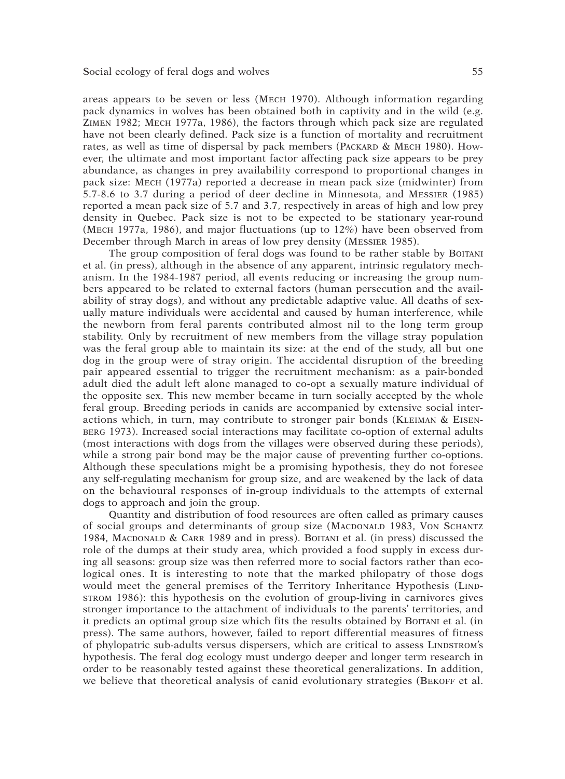areas appears to be seven or less (MECH 1970). Although information regarding pack dynamics in wolves has been obtained both in captivity and in the wild (e.g. ZIMEN 1982; MECH 1977a, 1986), the factors through which pack size are regulated have not been clearly defined. Pack size is a function of mortality and recruitment rates, as well as time of dispersal by pack members (PACKARD & MECH 1980). However, the ultimate and most important factor affecting pack size appears to be prey abundance, as changes in prey availability correspond to proportional changes in pack size: MECH (1977a) reported a decrease in mean pack size (midwinter) from 5.7-8.6 to 3.7 during a period of deer decline in Minnesota, and MESSIER (1985) reported a mean pack size of 5.7 and 3.7, respectively in areas of high and low prey density in Quebec. Pack size is not to be expected to be stationary year-round (MECH 1977a, 1986), and major fluctuations (up to 12%) have been observed from December through March in areas of low prey density (MESSIER 1985).

The group composition of feral dogs was found to be rather stable by BOITANI et al. (in press), although in the absence of any apparent, intrinsic regulatory mechanism. In the 1984-1987 period, all events reducing or increasing the group numbers appeared to be related to external factors (human persecution and the availability of stray dogs), and without any predictable adaptive value. All deaths of sexually mature individuals were accidental and caused by human interference, while the newborn from feral parents contributed almost nil to the long term group stability. Only by recruitment of new members from the village stray population was the feral group able to maintain its size: at the end of the study, all but one dog in the group were of stray origin. The accidental disruption of the breeding pair appeared essential to trigger the recruitment mechanism: as a pair-bonded adult died the adult left alone managed to co-opt a sexually mature individual of the opposite sex. This new member became in turn socially accepted by the whole feral group. Breeding periods in canids are accompanied by extensive social interactions which, in turn, may contribute to stronger pair bonds (KLEIMAN & EISEN-BERG 1973). Increased social interactions may facilitate co-option of external adults (most interactions with dogs from the villages were observed during these periods), while a strong pair bond may be the major cause of preventing further co-options. Although these speculations might be a promising hypothesis, they do not foresee any self-regulating mechanism for group size, and are weakened by the lack of data on the behavioural responses of in-group individuals to the attempts of external dogs to approach and join the group.

Quantity and distribution of food resources are often called as primary causes of social groups and determinants of group size (MACDONALD 1983, VON SCHANTZ 1984, MACDONALD & CARR 1989 and in press). BOITANI et al. (in press) discussed the role of the dumps at their study area, which provided a food supply in excess during all seasons: group size was then referred more to social factors rather than ecological ones. It is interesting to note that the marked philopatry of those dogs would meet the general premises of the Territory Inheritance Hypothesis (LIND-STROM 1986): this hypothesis on the evolution of group-living in carnivores gives stronger importance to the attachment of individuals to the parents' territories, and it predicts an optimal group size which fits the results obtained by BOITANI et al. (in press). The same authors, however, failed to report differential measures of fitness of phylopatric sub-adults versus dispersers, which are critical to assess LINDSTROM's hypothesis. The feral dog ecology must undergo deeper and longer term research in order to be reasonably tested against these theoretical generalizations. In addition, we believe that theoretical analysis of canid evolutionary strategies (BEKOFF et al.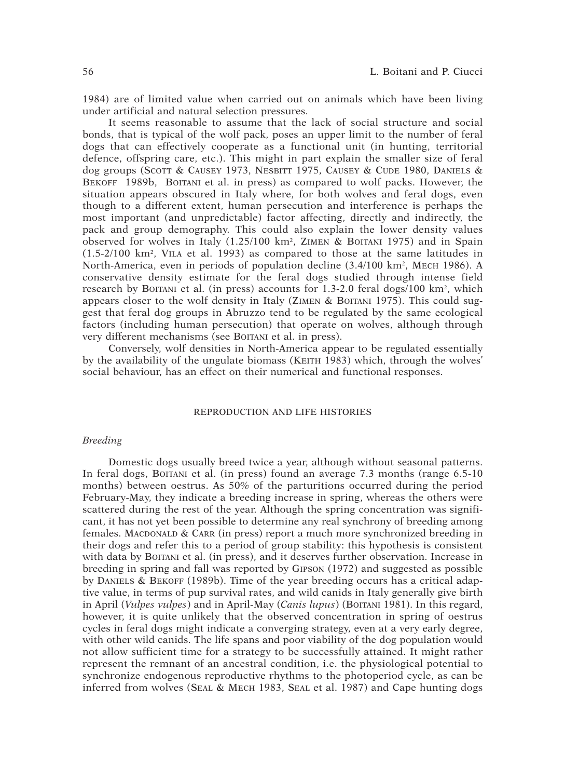1984) are of limited value when carried out on animals which have been living under artificial and natural selection pressures.

It seems reasonable to assume that the lack of social structure and social bonds, that is typical of the wolf pack, poses an upper limit to the number of feral dogs that can effectively cooperate as a functional unit (in hunting, territorial defence, offspring care, etc.). This might in part explain the smaller size of feral dog groups (SCOTT & CAUSEY 1973, NESBITT 1975, CAUSEY & CUDE 1980, DANIELS & BEKOFF 1989b, BOITANI et al. in press) as compared to wolf packs. However, the situation appears obscured in Italy where, for both wolves and feral dogs, even though to a different extent, human persecution and interference is perhaps the most important (and unpredictable) factor affecting, directly and indirectly, the pack and group demography. This could also explain the lower density values observed for wolves in Italy (1.25/100 km2, ZIMEN & BOITANI 1975) and in Spain  $(1.5-2/100 \text{ km}^2)$ , VILA et al. 1993) as compared to those at the same latitudes in North-America, even in periods of population decline (3.4/100 km<sup>2</sup>, MECH 1986). A conservative density estimate for the feral dogs studied through intense field research by BOITANI et al. (in press) accounts for 1.3-2.0 feral dogs/100 km2, which appears closer to the wolf density in Italy (ZIMEN  $&$  BOITANI 1975). This could suggest that feral dog groups in Abruzzo tend to be regulated by the same ecological factors (including human persecution) that operate on wolves, although through very different mechanisms (see BOITANI et al. in press).

Conversely, wolf densities in North-America appear to be regulated essentially by the availability of the ungulate biomass (KEITH 1983) which, through the wolves' social behaviour, has an effect on their numerical and functional responses.

### REPRODUCTION AND LIFE HISTORIES

#### *Breeding*

Domestic dogs usually breed twice a year, although without seasonal patterns. In feral dogs, BOITANI et al. (in press) found an average 7.3 months (range 6.5-10 months) between oestrus. As 50% of the parturitions occurred during the period February-May, they indicate a breeding increase in spring, whereas the others were scattered during the rest of the year. Although the spring concentration was significant, it has not yet been possible to determine any real synchrony of breeding among females. MACDONALD & CARR (in press) report a much more synchronized breeding in their dogs and refer this to a period of group stability: this hypothesis is consistent with data by BOITANI et al. (in press), and it deserves further observation. Increase in breeding in spring and fall was reported by GIPSON (1972) and suggested as possible by DANIELS & BEKOFF (1989b). Time of the year breeding occurs has a critical adaptive value, in terms of pup survival rates, and wild canids in Italy generally give birth in April (*Vulpes vulpes*) and in April-May (*Canis lupus*) (BOITANI 1981). In this regard, however, it is quite unlikely that the observed concentration in spring of oestrus cycles in feral dogs might indicate a converging strategy, even at a very early degree, with other wild canids. The life spans and poor viability of the dog population would not allow sufficient time for a strategy to be successfully attained. It might rather represent the remnant of an ancestral condition, i.e. the physiological potential to synchronize endogenous reproductive rhythms to the photoperiod cycle, as can be inferred from wolves (SEAL & MECH 1983, SEAL et al. 1987) and Cape hunting dogs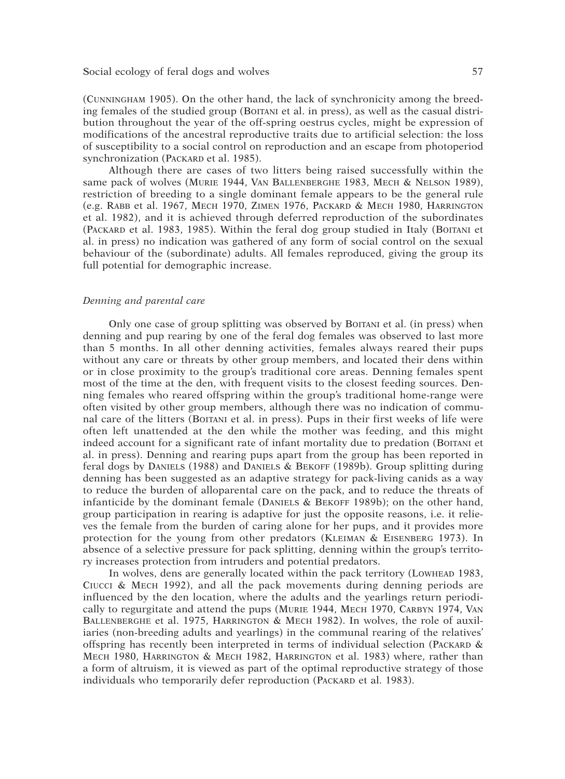(CUNNINGHAM 1905). On the other hand, the lack of synchronicity among the breeding females of the studied group (BOITANI et al. in press), as well as the casual distribution throughout the year of the off-spring oestrus cycles, might be expression of modifications of the ancestral reproductive traits due to artificial selection: the loss of susceptibility to a social control on reproduction and an escape from photoperiod synchronization (PACKARD et al. 1985).

Although there are cases of two litters being raised successfully within the same pack of wolves (MURIE 1944, VAN BALLENBERGHE 1983, MECH & NELSON 1989), restriction of breeding to a single dominant female appears to be the general rule (e.g. RABB et al. 1967, MECH 1970, ZIMEN 1976, PACKARD & MECH 1980, HARRINGTON et al. 1982), and it is achieved through deferred reproduction of the subordinates (PACKARD et al. 1983, 1985). Within the feral dog group studied in Italy (BOITANI et al. in press) no indication was gathered of any form of social control on the sexual behaviour of the (subordinate) adults. All females reproduced, giving the group its full potential for demographic increase.

# *Denning and parental care*

Only one case of group splitting was observed by BOITANI et al. (in press) when denning and pup rearing by one of the feral dog females was observed to last more than 5 months. In all other denning activities, females always reared their pups without any care or threats by other group members, and located their dens within or in close proximity to the group's traditional core areas. Denning females spent most of the time at the den, with frequent visits to the closest feeding sources. Denning females who reared offspring within the group's traditional home-range were often visited by other group members, although there was no indication of communal care of the litters (BOITANI et al. in press). Pups in their first weeks of life were often left unattended at the den while the mother was feeding, and this might indeed account for a significant rate of infant mortality due to predation (BOITANI et al. in press). Denning and rearing pups apart from the group has been reported in feral dogs by DANIELS (1988) and DANIELS & BEKOFF (1989b). Group splitting during denning has been suggested as an adaptive strategy for pack-living canids as a way to reduce the burden of alloparental care on the pack, and to reduce the threats of infanticide by the dominant female (DANIELS & BEKOFF 1989b); on the other hand, group participation in rearing is adaptive for just the opposite reasons, i.e. it relieves the female from the burden of caring alone for her pups, and it provides more protection for the young from other predators (KLEIMAN & EISENBERG 1973). In absence of a selective pressure for pack splitting, denning within the group's territory increases protection from intruders and potential predators.

In wolves, dens are generally located within the pack territory (LOWHEAD 1983, CIUCCI & MECH 1992), and all the pack movements during denning periods are influenced by the den location, where the adults and the yearlings return periodically to regurgitate and attend the pups (MURIE 1944, MECH 1970, CARBYN 1974, VAN BALLENBERGHE et al. 1975, HARRINGTON & MECH 1982). In wolves, the role of auxiliaries (non-breeding adults and yearlings) in the communal rearing of the relatives' offspring has recently been interpreted in terms of individual selection (PACKARD & MECH 1980, HARRINGTON & MECH 1982, HARRINGTON et al. 1983) where, rather than a form of altruism, it is viewed as part of the optimal reproductive strategy of those individuals who temporarily defer reproduction (PACKARD et al. 1983).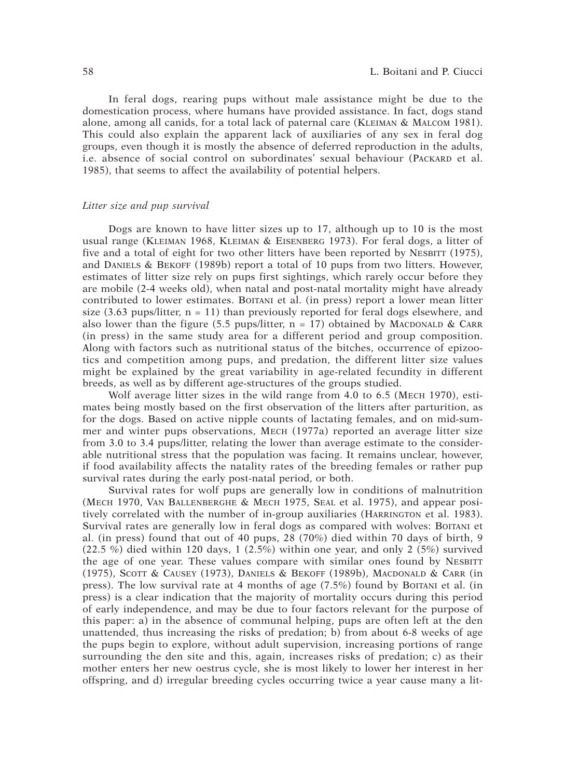In feral dogs, rearing pups without male assistance might be due to the domestication process, where humans have provided assistance. In fact, dogs stand alone, among all canids, for a total lack of paternal care (KLEIMAN & MALCOM 1981). This could also explain the apparent lack of auxiliaries of any sex in feral dog groups, even though it is mostly the absence of deferred reproduction in the adults, i.e. absence of social control on subordinates' sexual behaviour (PACKARD et al. 1985), that seems to affect the availability of potential helpers.

# *Litter size and pup survival*

Dogs are known to have litter sizes up to 17, although up to 10 is the most usual range (KLEIMAN 1968, KLEIMAN & EISENBERG 1973). For feral dogs, a litter of five and a total of eight for two other litters have been reported by NESBITT (1975), and DANIELS & BEKOFF (1989b) report a total of 10 pups from two litters. However, estimates of litter size rely on pups first sightings, which rarely occur before they are mobile (2-4 weeks old), when natal and post-natal mortality might have already contributed to lower estimates. BOITANI et al. (in press) report a lower mean litter size  $(3.63 \text{ pupils/litter}, n = 11)$  than previously reported for feral dogs elsewhere, and also lower than the figure (5.5 pups/litter,  $n = 17$ ) obtained by MACDONALD & CARR (in press) in the same study area for a different period and group composition. Along with factors such as nutritional status of the bitches, occurrence of epizootics and competition among pups, and predation, the different litter size values might be explained by the great variability in age-related fecundity in different breeds, as well as by different age-structures of the groups studied.

Wolf average litter sizes in the wild range from 4.0 to 6.5 (MECH 1970), estimates being mostly based on the first observation of the litters after parturition, as for the dogs. Based on active nipple counts of lactating females, and on mid-summer and winter pups observations, MECH (1977a) reported an average litter size from 3.0 to 3.4 pups/litter, relating the lower than average estimate to the considerable nutritional stress that the population was facing. It remains unclear, however, if food availability affects the natality rates of the breeding females or rather pup survival rates during the early post-natal period, or both.

Survival rates for wolf pups are generally low in conditions of malnutrition (MECH 1970, VAN BALLENBERGHE & MECH 1975, SEAL et al. 1975), and appear positively correlated with the number of in-group auxiliaries (HARRINGTON et al. 1983). Survival rates are generally low in feral dogs as compared with wolves: BOITANI et al. (in press) found that out of 40 pups, 28 (70%) died within 70 days of birth, 9 (22.5 %) died within 120 days, 1 (2.5%) within one year, and only 2 (5%) survived the age of one year. These values compare with similar ones found by NESBITT (1975), SCOTT & CAUSEY (1973), DANIELS & BEKOFF (1989b), MACDONALD & CARR (in press). The low survival rate at 4 months of age (7.5%) found by BOITANI et al. (in press) is a clear indication that the majority of mortality occurs during this period of early independence, and may be due to four factors relevant for the purpose of this paper: a) in the absence of communal helping, pups are often left at the den unattended, thus increasing the risks of predation; b) from about 6-8 weeks of age the pups begin to explore, without adult supervision, increasing portions of range surrounding the den site and this, again, increases risks of predation; c) as their mother enters her new oestrus cycle, she is most likely to lower her interest in her offspring, and d) irregular breeding cycles occurring twice a year cause many a lit-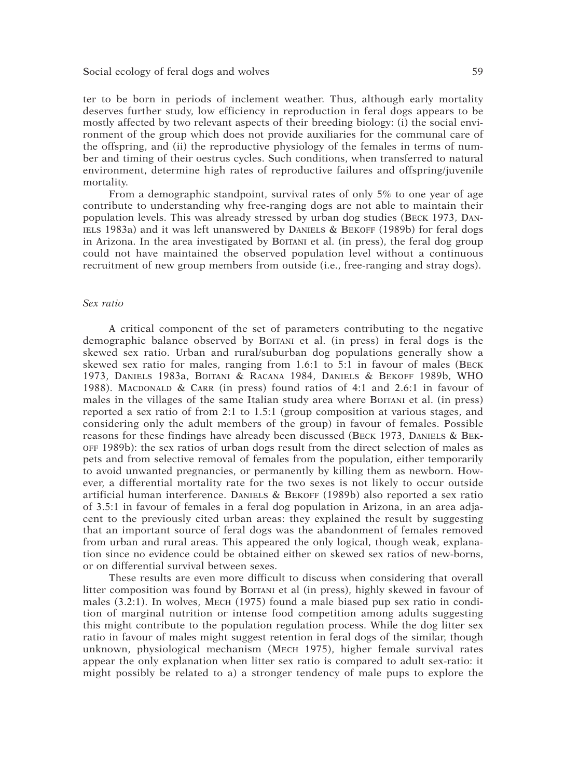ter to be born in periods of inclement weather. Thus, although early mortality deserves further study, low efficiency in reproduction in feral dogs appears to be mostly affected by two relevant aspects of their breeding biology: (i) the social environment of the group which does not provide auxiliaries for the communal care of the offspring, and (ii) the reproductive physiology of the females in terms of number and timing of their oestrus cycles. Such conditions, when transferred to natural environment, determine high rates of reproductive failures and offspring/juvenile mortality.

From a demographic standpoint, survival rates of only 5% to one year of age contribute to understanding why free-ranging dogs are not able to maintain their population levels. This was already stressed by urban dog studies (BECK 1973, DAN-IELS 1983a) and it was left unanswered by DANIELS & BEKOFF (1989b) for feral dogs in Arizona. In the area investigated by BOITANI et al. (in press), the feral dog group could not have maintained the observed population level without a continuous recruitment of new group members from outside (i.e., free-ranging and stray dogs).

#### *Sex ratio*

A critical component of the set of parameters contributing to the negative demographic balance observed by BOITANI et al. (in press) in feral dogs is the skewed sex ratio. Urban and rural/suburban dog populations generally show a skewed sex ratio for males, ranging from 1.6:1 to 5:1 in favour of males (BECK 1973, DANIELS 1983a, BOITANI & RACANA 1984, DANIELS & BEKOFF 1989b, WHO 1988). MACDONALD & CARR (in press) found ratios of 4:1 and 2.6:1 in favour of males in the villages of the same Italian study area where BOITANI et al. (in press) reported a sex ratio of from 2:1 to 1.5:1 (group composition at various stages, and considering only the adult members of the group) in favour of females. Possible reasons for these findings have already been discussed (BECK 1973, DANIELS & BEK-OFF 1989b): the sex ratios of urban dogs result from the direct selection of males as pets and from selective removal of females from the population, either temporarily to avoid unwanted pregnancies, or permanently by killing them as newborn. However, a differential mortality rate for the two sexes is not likely to occur outside artificial human interference. DANIELS & BEKOFF (1989b) also reported a sex ratio of 3.5:1 in favour of females in a feral dog population in Arizona, in an area adjacent to the previously cited urban areas: they explained the result by suggesting that an important source of feral dogs was the abandonment of females removed from urban and rural areas. This appeared the only logical, though weak, explanation since no evidence could be obtained either on skewed sex ratios of new-borns, or on differential survival between sexes.

These results are even more difficult to discuss when considering that overall litter composition was found by BOITANI et al (in press), highly skewed in favour of males (3.2:1). In wolves, MECH (1975) found a male biased pup sex ratio in condition of marginal nutrition or intense food competition among adults suggesting this might contribute to the population regulation process. While the dog litter sex ratio in favour of males might suggest retention in feral dogs of the similar, though unknown, physiological mechanism (MECH 1975), higher female survival rates appear the only explanation when litter sex ratio is compared to adult sex-ratio: it might possibly be related to a) a stronger tendency of male pups to explore the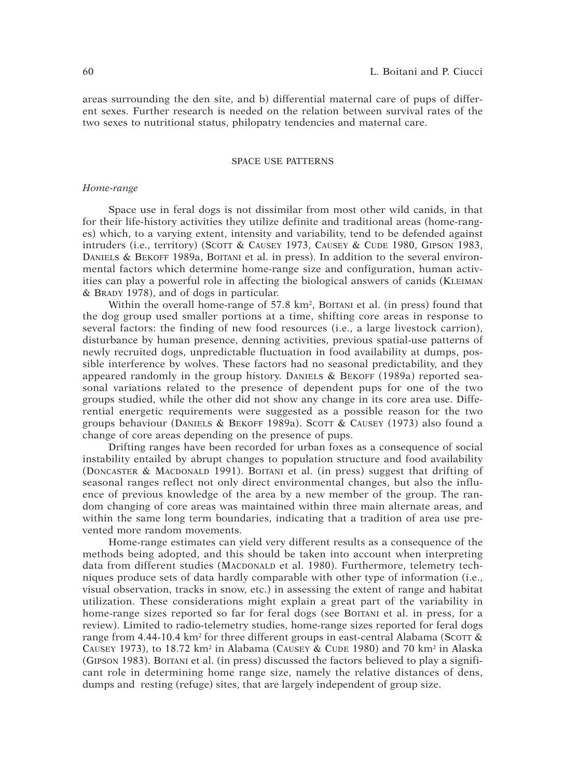areas surrounding the den site, and b) differential maternal care of pups of different sexes. Further research is needed on the relation between survival rates of the two sexes to nutritional status, philopatry tendencies and maternal care.

#### SPACE USE PATTERNS

### *Home-range*

Space use in feral dogs is not dissimilar from most other wild canids, in that for their life-history activities they utilize definite and traditional areas (home-ranges) which, to a varying extent, intensity and variability, tend to be defended against intruders (i.e., territory) (Scort & Causey 1973, Causey & Cupe 1980, GIPSON 1983, DANIELS & BEKOFF 1989a, BOITANI et al. in press). In addition to the several environmental factors which determine home-range size and configuration, human activities can play a powerful role in affecting the biological answers of canids (KLEIMAN & BRADY 1978), and of dogs in particular.

Within the overall home-range of  $57.8 \text{ km}^2$ , BOITANI et al. (in press) found that the dog group used smaller portions at a time, shifting core areas in response to several factors: the finding of new food resources (i.e., a large livestock carrion), disturbance by human presence, denning activities, previous spatial-use patterns of newly recruited dogs, unpredictable fluctuation in food availability at dumps, possible interference by wolves. These factors had no seasonal predictability, and they appeared randomly in the group history. DANIELS  $\&$  BEKOFF (1989a) reported seasonal variations related to the presence of dependent pups for one of the two groups studied, while the other did not show any change in its core area use. Differential energetic requirements were suggested as a possible reason for the two groups behaviour (DANIELS & BEKOFF 1989a). SCOTT & CAUSEY (1973) also found a change of core areas depending on the presence of pups.

Drifting ranges have been recorded for urban foxes as a consequence of social instability entailed by abrupt changes to population structure and food availability (DONCASTER & MACDONALD 1991). BOITANI et al. (in press) suggest that drifting of seasonal ranges reflect not only direct environmental changes, but also the influence of previous knowledge of the area by a new member of the group. The random changing of core areas was maintained within three main alternate areas, and within the same long term boundaries, indicating that a tradition of area use prevented more random movements.

Home-range estimates can yield very different results as a consequence of the methods being adopted, and this should be taken into account when interpreting data from different studies (MACDONALD et al. 1980). Furthermore, telemetry techniques produce sets of data hardly comparable with other type of information (i.e., visual observation, tracks in snow, etc.) in assessing the extent of range and habitat utilization. These considerations might explain a great part of the variability in home-range sizes reported so far for feral dogs (see BOITANI et al. in press, for a review). Limited to radio-telemetry studies, home-range sizes reported for feral dogs range from 4.44-10.4 km<sup>2</sup> for three different groups in east-central Alabama (Scorr  $\&$ CAUSEY 1973), to 18.72 km<sup>2</sup> in Alabama (CAUSEY & CUDE 1980) and 70 km<sup>2</sup> in Alaska (GIPSON 1983). BOITANI et al. (in press) discussed the factors believed to play a significant role in determining home range size, namely the relative distances of dens, dumps and resting (refuge) sites, that are largely independent of group size.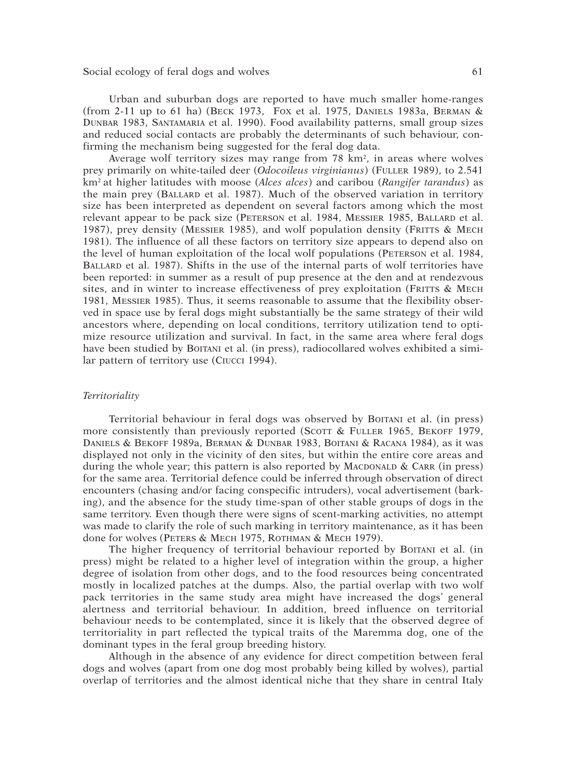Urban and suburban dogs are reported to have much smaller home-ranges (from 2-11 up to 61 ha) (BECK 1973, Fox et al. 1975, DANIELS 1983a, BERMAN  $&$ DUNBAR 1983, SANTAMARIA et al. 1990). Food availability patterns, small group sizes and reduced social contacts are probably the determinants of such behaviour, confirming the mechanism being suggested for the feral dog data.

Average wolf territory sizes may range from 78 km2, in areas where wolves prey primarily on white-tailed deer (*Odocoileus virginianus*) (FULLER 1989), to 2.541 km2 at higher latitudes with moose (*Alces alces*) and caribou (*Rangifer tarandus*) as the main prey (BALLARD et al. 1987). Much of the observed variation in territory size has been interpreted as dependent on several factors among which the most relevant appear to be pack size (PETERSON et al. 1984, MESSIER 1985, BALLARD et al. 1987), prey density (MESSIER 1985), and wolf population density (FRITTS & MECH 1981). The influence of all these factors on territory size appears to depend also on the level of human exploitation of the local wolf populations (PETERSON et al. 1984, BALLARD et al. 1987). Shifts in the use of the internal parts of wolf territories have been reported: in summer as a result of pup presence at the den and at rendezvous sites, and in winter to increase effectiveness of prey exploitation (FRITTS & MECH 1981, MESSIER 1985). Thus, it seems reasonable to assume that the flexibility observed in space use by feral dogs might substantially be the same strategy of their wild ancestors where, depending on local conditions, territory utilization tend to optimize resource utilization and survival. In fact, in the same area where feral dogs have been studied by BOITANI et al. (in press), radiocollared wolves exhibited a similar pattern of territory use (CIUCCI 1994).

### *Territoriality*

Territorial behaviour in feral dogs was observed by BOITANI et al. (in press) more consistently than previously reported (SCOTT  $\&$  FULLER 1965, BEKOFF 1979, DANIELS & BEKOFF 1989a, BERMAN & DUNBAR 1983, BOITANI & RACANA 1984), as it was displayed not only in the vicinity of den sites, but within the entire core areas and during the whole year; this pattern is also reported by MACDONALD & CARR (in press) for the same area. Territorial defence could be inferred through observation of direct encounters (chasing and/or facing conspecific intruders), vocal advertisement (barking), and the absence for the study time-span of other stable groups of dogs in the same territory. Even though there were signs of scent-marking activities, no attempt was made to clarify the role of such marking in territory maintenance, as it has been done for wolves (PETERS & MECH 1975, ROTHMAN & MECH 1979).

The higher frequency of territorial behaviour reported by BOITANI et al. (in press) might be related to a higher level of integration within the group, a higher degree of isolation from other dogs, and to the food resources being concentrated mostly in localized patches at the dumps. Also, the partial overlap with two wolf pack territories in the same study area might have increased the dogs' general alertness and territorial behaviour. In addition, breed influence on territorial behaviour needs to be contemplated, since it is likely that the observed degree of territoriality in part reflected the typical traits of the Maremma dog, one of the dominant types in the feral group breeding history.

Although in the absence of any evidence for direct competition between feral dogs and wolves (apart from one dog most probably being killed by wolves), partial overlap of territories and the almost identical niche that they share in central Italy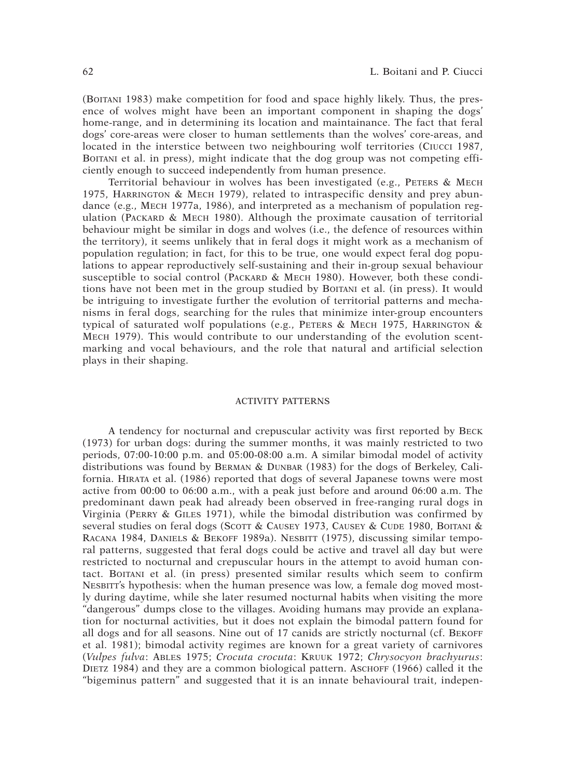(BOITANI 1983) make competition for food and space highly likely. Thus, the presence of wolves might have been an important component in shaping the dogs' home-range, and in determining its location and maintainance. The fact that feral dogs' core-areas were closer to human settlements than the wolves' core-areas, and located in the interstice between two neighbouring wolf territories (CIUCCI 1987, BOITANI et al. in press), might indicate that the dog group was not competing efficiently enough to succeed independently from human presence.

Territorial behaviour in wolves has been investigated (e.g., PETERS & MECH 1975, HARRINGTON & MECH 1979), related to intraspecific density and prey abundance (e.g., MECH 1977a, 1986), and interpreted as a mechanism of population regulation (PACKARD & MECH 1980). Although the proximate causation of territorial behaviour might be similar in dogs and wolves (i.e., the defence of resources within the territory), it seems unlikely that in feral dogs it might work as a mechanism of population regulation; in fact, for this to be true, one would expect feral dog populations to appear reproductively self-sustaining and their in-group sexual behaviour susceptible to social control (PACKARD & MECH 1980). However, both these conditions have not been met in the group studied by BOITANI et al. (in press). It would be intriguing to investigate further the evolution of territorial patterns and mechanisms in feral dogs, searching for the rules that minimize inter-group encounters typical of saturated wolf populations (e.g., PETERS & MECH 1975, HARRINGTON & MECH 1979). This would contribute to our understanding of the evolution scentmarking and vocal behaviours, and the role that natural and artificial selection plays in their shaping.

#### ACTIVITY PATTERNS

A tendency for nocturnal and crepuscular activity was first reported by BECK (1973) for urban dogs: during the summer months, it was mainly restricted to two periods, 07:00-10:00 p.m. and 05:00-08:00 a.m. A similar bimodal model of activity distributions was found by BERMAN & DUNBAR (1983) for the dogs of Berkeley, California. HIRATA et al. (1986) reported that dogs of several Japanese towns were most active from 00:00 to 06:00 a.m., with a peak just before and around 06:00 a.m. The predominant dawn peak had already been observed in free-ranging rural dogs in Virginia (PERRY & GILES 1971), while the bimodal distribution was confirmed by several studies on feral dogs (SCOTT & CAUSEY 1973, CAUSEY & CUDE 1980, BOITANI & RACANA 1984, DANIELS & BEKOFF 1989a). NESBITT (1975), discussing similar temporal patterns, suggested that feral dogs could be active and travel all day but were restricted to nocturnal and crepuscular hours in the attempt to avoid human contact. BOITANI et al. (in press) presented similar results which seem to confirm NESBITT's hypothesis: when the human presence was low, a female dog moved mostly during daytime, while she later resumed nocturnal habits when visiting the more "dangerous" dumps close to the villages. Avoiding humans may provide an explanation for nocturnal activities, but it does not explain the bimodal pattern found for all dogs and for all seasons. Nine out of 17 canids are strictly nocturnal (cf. BEKOFF et al. 1981); bimodal activity regimes are known for a great variety of carnivores (*Vulpes fulva*: ABLES 1975; *Crocuta crocuta*: KRUUK 1972; *Chrysocyon brachyurus*: DIETZ 1984) and they are a common biological pattern. ASCHOFF (1966) called it the "bigeminus pattern" and suggested that it is an innate behavioural trait, indepen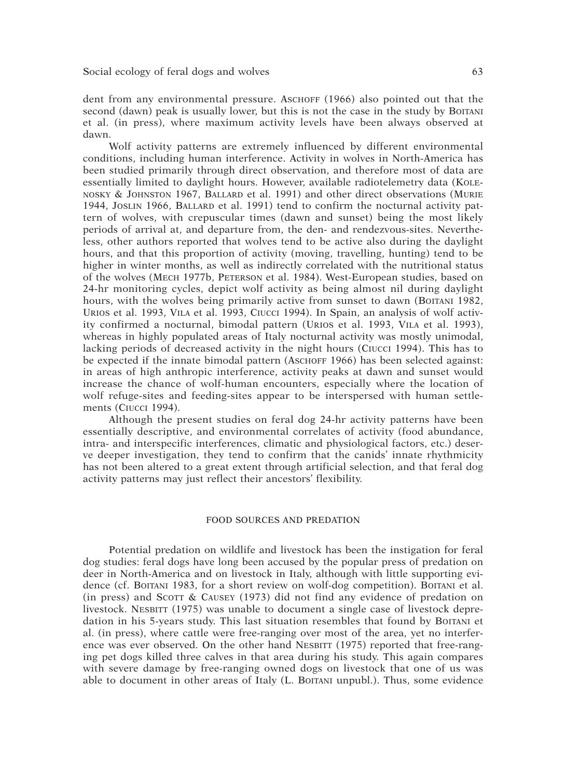dent from any environmental pressure. ASCHOFF (1966) also pointed out that the second (dawn) peak is usually lower, but this is not the case in the study by BOITANI et al. (in press), where maximum activity levels have been always observed at dawn.

Wolf activity patterns are extremely influenced by different environmental conditions, including human interference. Activity in wolves in North-America has been studied primarily through direct observation, and therefore most of data are essentially limited to daylight hours. However, available radiotelemetry data (KOLE-NOSKY & JOHNSTON 1967, BALLARD et al. 1991) and other direct observations (MURIE 1944, JOSLIN 1966, BALLARD et al. 1991) tend to confirm the nocturnal activity pattern of wolves, with crepuscular times (dawn and sunset) being the most likely periods of arrival at, and departure from, the den- and rendezvous-sites. Nevertheless, other authors reported that wolves tend to be active also during the daylight hours, and that this proportion of activity (moving, travelling, hunting) tend to be higher in winter months, as well as indirectly correlated with the nutritional status of the wolves (MECH 1977b, PETERSON et al. 1984). West-European studies, based on 24-hr monitoring cycles, depict wolf activity as being almost nil during daylight hours, with the wolves being primarily active from sunset to dawn (BOITANI 1982, URIOS et al. 1993, VILA et al. 1993, CIUCCI 1994). In Spain, an analysis of wolf activity confirmed a nocturnal, bimodal pattern (URIOS et al. 1993, VILA et al. 1993), whereas in highly populated areas of Italy nocturnal activity was mostly unimodal, lacking periods of decreased activity in the night hours (CIUCCI 1994). This has to be expected if the innate bimodal pattern (Aschorf 1966) has been selected against: in areas of high anthropic interference, activity peaks at dawn and sunset would increase the chance of wolf-human encounters, especially where the location of wolf refuge-sites and feeding-sites appear to be interspersed with human settlements (CIUCCI 1994).

Although the present studies on feral dog 24-hr activity patterns have been essentially descriptive, and environmental correlates of activity (food abundance, intra- and interspecific interferences, climatic and physiological factors, etc.) deserve deeper investigation, they tend to confirm that the canids' innate rhythmicity has not been altered to a great extent through artificial selection, and that feral dog activity patterns may just reflect their ancestors' flexibility.

# FOOD SOURCES AND PREDATION

Potential predation on wildlife and livestock has been the instigation for feral dog studies: feral dogs have long been accused by the popular press of predation on deer in North-America and on livestock in Italy, although with little supporting evidence (cf. BOITANI 1983, for a short review on wolf-dog competition). BOITANI et al. (in press) and SCOTT & CAUSEY (1973) did not find any evidence of predation on livestock. NESBITT (1975) was unable to document a single case of livestock depredation in his 5-years study. This last situation resembles that found by BOITANI et al. (in press), where cattle were free-ranging over most of the area, yet no interference was ever observed. On the other hand NESBITT (1975) reported that free-ranging pet dogs killed three calves in that area during his study. This again compares with severe damage by free-ranging owned dogs on livestock that one of us was able to document in other areas of Italy (L. BOITANI unpubl.). Thus, some evidence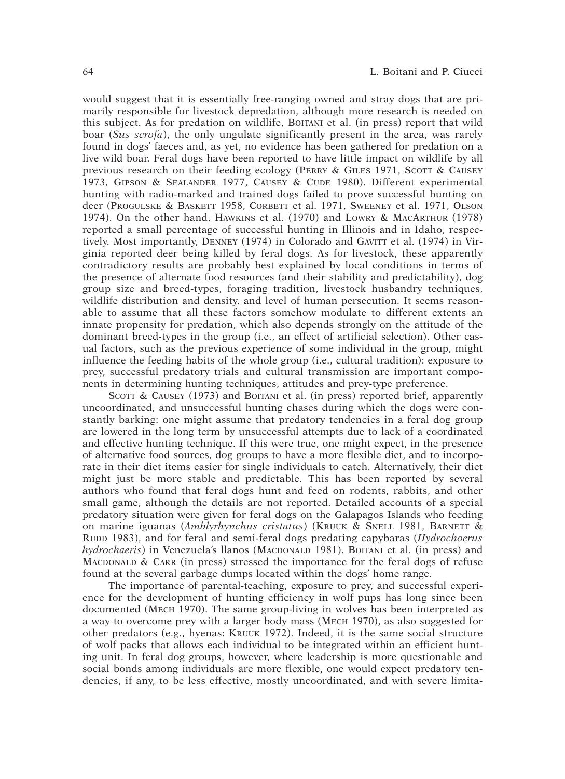would suggest that it is essentially free-ranging owned and stray dogs that are primarily responsible for livestock depredation, although more research is needed on this subject. As for predation on wildlife, BOITANI et al. (in press) report that wild boar (*Sus scrofa*), the only ungulate significantly present in the area, was rarely found in dogs' faeces and, as yet, no evidence has been gathered for predation on a live wild boar. Feral dogs have been reported to have little impact on wildlife by all previous research on their feeding ecology (PERRY & GILES 1971, SCOTT & CAUSEY 1973, GIPSON & SEALANDER 1977, CAUSEY & CUDE 1980). Different experimental hunting with radio-marked and trained dogs failed to prove successful hunting on deer (PROGULSKE & BASKETT 1958, CORBETT et al. 1971, SWEENEY et al. 1971, OLSON 1974). On the other hand, HAWKINS et al. (1970) and LOWRY & MACARTHUR (1978) reported a small percentage of successful hunting in Illinois and in Idaho, respectively. Most importantly, DENNEY (1974) in Colorado and GAVITT et al. (1974) in Virginia reported deer being killed by feral dogs. As for livestock, these apparently contradictory results are probably best explained by local conditions in terms of the presence of alternate food resources (and their stability and predictability), dog group size and breed-types, foraging tradition, livestock husbandry techniques, wildlife distribution and density, and level of human persecution. It seems reasonable to assume that all these factors somehow modulate to different extents an innate propensity for predation, which also depends strongly on the attitude of the dominant breed-types in the group (i.e., an effect of artificial selection). Other casual factors, such as the previous experience of some individual in the group, might influence the feeding habits of the whole group (i.e., cultural tradition): exposure to prey, successful predatory trials and cultural transmission are important components in determining hunting techniques, attitudes and prey-type preference.

SCOTT & CAUSEY (1973) and BOITANI et al. (in press) reported brief, apparently uncoordinated, and unsuccessful hunting chases during which the dogs were constantly barking: one might assume that predatory tendencies in a feral dog group are lowered in the long term by unsuccessful attempts due to lack of a coordinated and effective hunting technique. If this were true, one might expect, in the presence of alternative food sources, dog groups to have a more flexible diet, and to incorporate in their diet items easier for single individuals to catch. Alternatively, their diet might just be more stable and predictable. This has been reported by several authors who found that feral dogs hunt and feed on rodents, rabbits, and other small game, although the details are not reported. Detailed accounts of a special predatory situation were given for feral dogs on the Galapagos Islands who feeding on marine iguanas (*Amblyrhynchus cristatus*) (KRUUK & SNELL 1981, BARNETT & RUDD 1983), and for feral and semi-feral dogs predating capybaras (*Hydrochoerus hydrochaeris*) in Venezuela's llanos (MACDONALD 1981). BOITANI et al. (in press) and MACDONALD & CARR (in press) stressed the importance for the feral dogs of refuse found at the several garbage dumps located within the dogs' home range.

The importance of parental-teaching, exposure to prey, and successful experience for the development of hunting efficiency in wolf pups has long since been documented (MECH 1970). The same group-living in wolves has been interpreted as a way to overcome prey with a larger body mass (MECH 1970), as also suggested for other predators (e.g., hyenas: KRUUK 1972). Indeed, it is the same social structure of wolf packs that allows each individual to be integrated within an efficient hunting unit. In feral dog groups, however, where leadership is more questionable and social bonds among individuals are more flexible, one would expect predatory tendencies, if any, to be less effective, mostly uncoordinated, and with severe limita-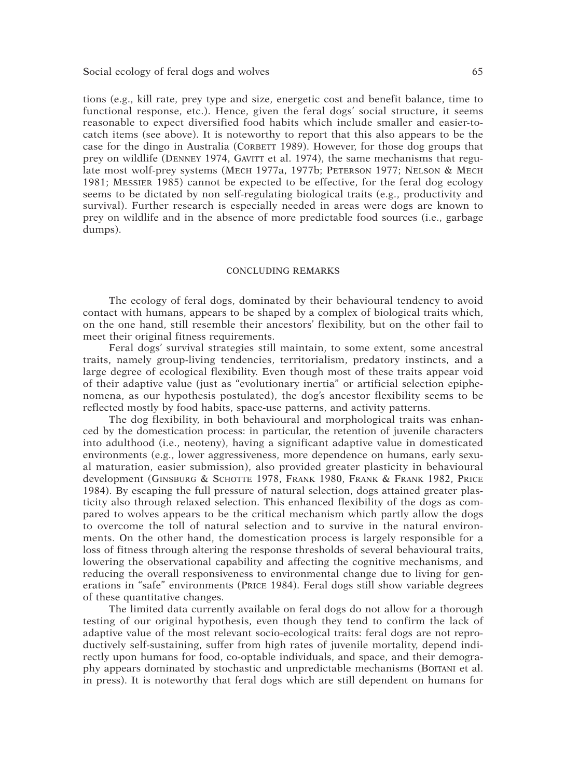tions (e.g., kill rate, prey type and size, energetic cost and benefit balance, time to functional response, etc.). Hence, given the feral dogs' social structure, it seems reasonable to expect diversified food habits which include smaller and easier-tocatch items (see above). It is noteworthy to report that this also appears to be the case for the dingo in Australia (CORBETT 1989). However, for those dog groups that prey on wildlife (DENNEY 1974, GAVITT et al. 1974), the same mechanisms that regulate most wolf-prey systems (MECH 1977a, 1977b; PETERSON 1977; NELSON & MECH 1981; MESSIER 1985) cannot be expected to be effective, for the feral dog ecology seems to be dictated by non self-regulating biological traits (e.g., productivity and survival). Further research is especially needed in areas were dogs are known to prey on wildlife and in the absence of more predictable food sources (i.e., garbage dumps).

# CONCLUDING REMARKS

The ecology of feral dogs, dominated by their behavioural tendency to avoid contact with humans, appears to be shaped by a complex of biological traits which, on the one hand, still resemble their ancestors' flexibility, but on the other fail to meet their original fitness requirements.

Feral dogs' survival strategies still maintain, to some extent, some ancestral traits, namely group-living tendencies, territorialism, predatory instincts, and a large degree of ecological flexibility. Even though most of these traits appear void of their adaptive value (just as "evolutionary inertia" or artificial selection epiphenomena, as our hypothesis postulated), the dog's ancestor flexibility seems to be reflected mostly by food habits, space-use patterns, and activity patterns.

The dog flexibility, in both behavioural and morphological traits was enhanced by the domestication process: in particular, the retention of juvenile characters into adulthood (i.e., neoteny), having a significant adaptive value in domesticated environments (e.g., lower aggressiveness, more dependence on humans, early sexual maturation, easier submission), also provided greater plasticity in behavioural development (GINSBURG & SCHOTTE 1978, FRANK 1980, FRANK & FRANK 1982, PRICE 1984). By escaping the full pressure of natural selection, dogs attained greater plasticity also through relaxed selection. This enhanced flexibility of the dogs as compared to wolves appears to be the critical mechanism which partly allow the dogs to overcome the toll of natural selection and to survive in the natural environments. On the other hand, the domestication process is largely responsible for a loss of fitness through altering the response thresholds of several behavioural traits, lowering the observational capability and affecting the cognitive mechanisms, and reducing the overall responsiveness to environmental change due to living for generations in "safe" environments (PRICE 1984). Feral dogs still show variable degrees of these quantitative changes.

The limited data currently available on feral dogs do not allow for a thorough testing of our original hypothesis, even though they tend to confirm the lack of adaptive value of the most relevant socio-ecological traits: feral dogs are not reproductively self-sustaining, suffer from high rates of juvenile mortality, depend indirectly upon humans for food, co-optable individuals, and space, and their demography appears dominated by stochastic and unpredictable mechanisms (BOITANI et al. in press). It is noteworthy that feral dogs which are still dependent on humans for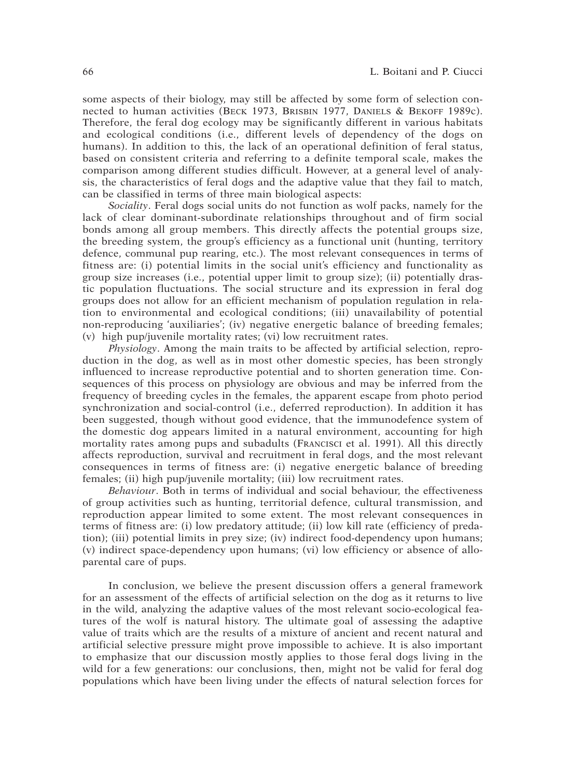some aspects of their biology, may still be affected by some form of selection connected to human activities (BECK 1973, BRISBIN 1977, DANIELS & BEKOFF 1989c). Therefore, the feral dog ecology may be significantly different in various habitats and ecological conditions (i.e., different levels of dependency of the dogs on humans). In addition to this, the lack of an operational definition of feral status, based on consistent criteria and referring to a definite temporal scale, makes the comparison among different studies difficult. However, at a general level of analysis, the characteristics of feral dogs and the adaptive value that they fail to match, can be classified in terms of three main biological aspects:

*Sociality*. Feral dogs social units do not function as wolf packs, namely for the lack of clear dominant-subordinate relationships throughout and of firm social bonds among all group members. This directly affects the potential groups size, the breeding system, the group's efficiency as a functional unit (hunting, territory defence, communal pup rearing, etc.). The most relevant consequences in terms of fitness are: (i) potential limits in the social unit's efficiency and functionality as group size increases (i.e., potential upper limit to group size); (ii) potentially drastic population fluctuations. The social structure and its expression in feral dog groups does not allow for an efficient mechanism of population regulation in relation to environmental and ecological conditions; (iii) unavailability of potential non-reproducing 'auxiliaries'; (iv) negative energetic balance of breeding females; (v) high pup/juvenile mortality rates; (vi) low recruitment rates.

*Physiology*. Among the main traits to be affected by artificial selection, reproduction in the dog, as well as in most other domestic species, has been strongly influenced to increase reproductive potential and to shorten generation time. Consequences of this process on physiology are obvious and may be inferred from the frequency of breeding cycles in the females, the apparent escape from photo period synchronization and social-control (i.e., deferred reproduction). In addition it has been suggested, though without good evidence, that the immunodefence system of the domestic dog appears limited in a natural environment, accounting for high mortality rates among pups and subadults (FRANCISCI et al. 1991). All this directly affects reproduction, survival and recruitment in feral dogs, and the most relevant consequences in terms of fitness are: (i) negative energetic balance of breeding females; (ii) high pup/juvenile mortality; (iii) low recruitment rates.

*Behaviour*. Both in terms of individual and social behaviour, the effectiveness of group activities such as hunting, territorial defence, cultural transmission, and reproduction appear limited to some extent. The most relevant consequences in terms of fitness are: (i) low predatory attitude; (ii) low kill rate (efficiency of predation); (iii) potential limits in prey size; (iv) indirect food-dependency upon humans; (v) indirect space-dependency upon humans; (vi) low efficiency or absence of alloparental care of pups.

In conclusion, we believe the present discussion offers a general framework for an assessment of the effects of artificial selection on the dog as it returns to live in the wild, analyzing the adaptive values of the most relevant socio-ecological features of the wolf is natural history. The ultimate goal of assessing the adaptive value of traits which are the results of a mixture of ancient and recent natural and artificial selective pressure might prove impossible to achieve. It is also important to emphasize that our discussion mostly applies to those feral dogs living in the wild for a few generations: our conclusions, then, might not be valid for feral dog populations which have been living under the effects of natural selection forces for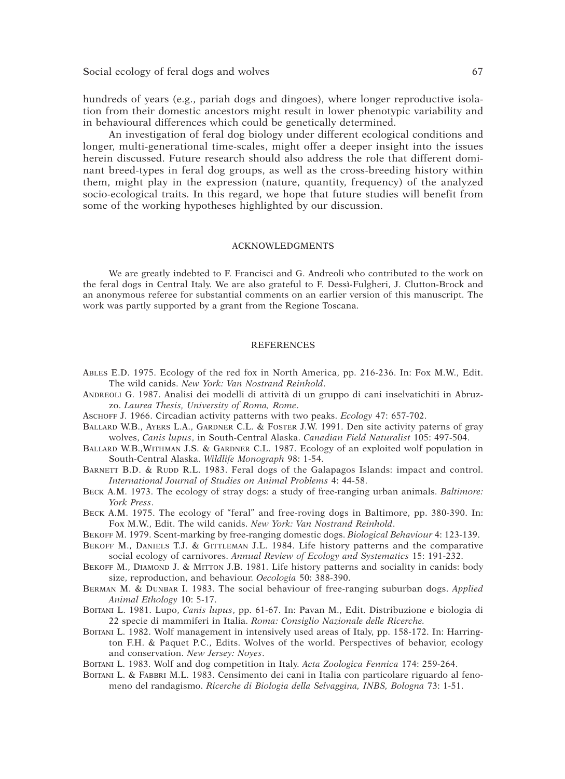hundreds of years (e.g., pariah dogs and dingoes), where longer reproductive isolation from their domestic ancestors might result in lower phenotypic variability and in behavioural differences which could be genetically determined.

An investigation of feral dog biology under different ecological conditions and longer, multi-generational time-scales, might offer a deeper insight into the issues herein discussed. Future research should also address the role that different dominant breed-types in feral dog groups, as well as the cross-breeding history within them, might play in the expression (nature, quantity, frequency) of the analyzed socio-ecological traits. In this regard, we hope that future studies will benefit from some of the working hypotheses highlighted by our discussion.

#### ACKNOWLEDGMENTS

We are greatly indebted to F. Francisci and G. Andreoli who contributed to the work on the feral dogs in Central Italy. We are also grateful to F. Dessì-Fulgheri, J. Clutton-Brock and an anonymous referee for substantial comments on an earlier version of this manuscript. The work was partly supported by a grant from the Regione Toscana.

#### **REFERENCES**

- ABLES E.D. 1975. Ecology of the red fox in North America, pp. 216-236. In: Fox M.W., Edit. The wild canids. *New York: Van Nostrand Reinhold*.
- ANDREOLI G. 1987. Analisi dei modelli di attività di un gruppo di cani inselvatichiti in Abruzzo. *Laurea Thesis, University of Roma, Rome*.
- ASCHOFF J. 1966. Circadian activity patterns with two peaks. *Ecology* 47: 657-702.
- BALLARD W.B., AYERS L.A., GARDNER C.L. & FOSTER J.W. 1991. Den site activity paterns of gray wolves, *Canis lupus*, in South-Central Alaska. *Canadian Field Naturalist* 105: 497-504.
- BALLARD W.B.,WITHMAN J.S. & GARDNER C.L. 1987. Ecology of an exploited wolf population in South-Central Alaska. *Wildlife Monograph* 98: 1-54.
- BARNETT B.D. & RUDD R.L. 1983. Feral dogs of the Galapagos Islands: impact and control. *International Journal of Studies on Animal Problems* 4: 44-58.
- BECK A.M. 1973. The ecology of stray dogs: a study of free-ranging urban animals. *Baltimore: York Press*.
- BECK A.M. 1975. The ecology of "feral" and free-roving dogs in Baltimore, pp. 380-390. In: Fox M.W., Edit. The wild canids. *New York: Van Nostrand Reinhold*.
- BEKOFF M. 1979. Scent-marking by free-ranging domestic dogs. *Biological Behaviour* 4: 123-139.
- BEKOFF M., DANIELS T.J. & GITTLEMAN J.L. 1984. Life history patterns and the comparative social ecology of carnivores. *Annual Review of Ecology and Systematics* 15: 191-232.
- BEKOFF M., DIAMOND J. & MITTON J.B. 1981. Life history patterns and sociality in canids: body size, reproduction, and behaviour. *Oecologia* 50: 388-390.
- BERMAN M. & DUNBAR I. 1983. The social behaviour of free-ranging suburban dogs. *Applied Animal Ethology* 10: 5-17.
- BOITANI L. 1981. Lupo, *Canis lupus*, pp. 61-67. In: Pavan M., Edit. Distribuzione e biologia di 22 specie di mammiferi in Italia. *Roma: Consiglio Nazionale delle Ricerche.*
- BOITANI L. 1982. Wolf management in intensively used areas of Italy, pp. 158-172. In: Harrington F.H. & Paquet P.C., Edits. Wolves of the world. Perspectives of behavior, ecology and conservation. *New Jersey: Noyes*.
- BOITANI L. 1983. Wolf and dog competition in Italy. *Acta Zoologica Fennica* 174: 259-264.
- BOITANI L. & FABBRI M.L. 1983. Censimento dei cani in Italia con particolare riguardo al fenomeno del randagismo. *Ricerche di Biologia della Selvaggina, INBS, Bologna* 73: 1-51.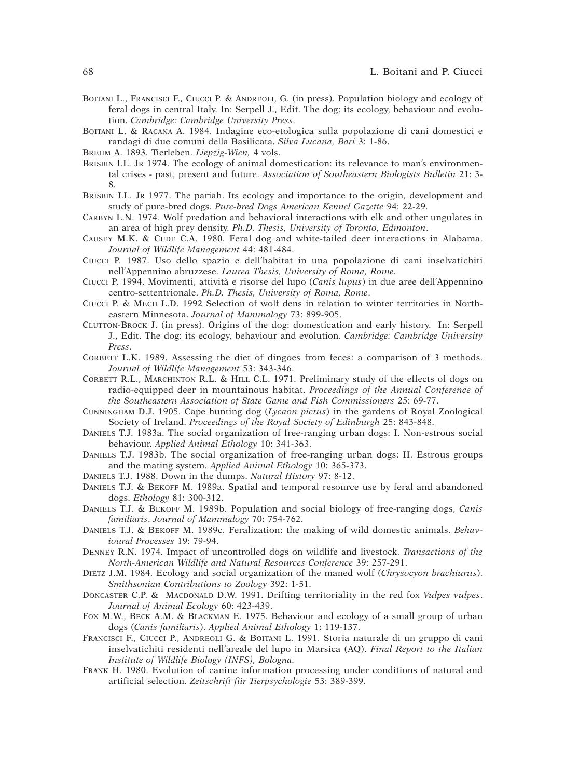- BOITANI L., FRANCISCI F., CIUCCI P. & ANDREOLI, G. (in press). Population biology and ecology of feral dogs in central Italy. In: Serpell J., Edit. The dog: its ecology, behaviour and evolution. *Cambridge: Cambridge University Press*.
- BOITANI L. & RACANA A. 1984. Indagine eco-etologica sulla popolazione di cani domestici e randagi di due comuni della Basilicata. *Silva Lucana, Bari* 3: 1-86.
- BREHM A. 1893. Tierleben. *Liepzig-Wien,* 4 vols.
- BRISBIN I.L. JR 1974. The ecology of animal domestication: its relevance to man's environmental crises - past, present and future. *Association of Southeastern Biologists Bulletin* 21: 3- 8.
- BRISBIN I.L. JR 1977. The pariah. Its ecology and importance to the origin, development and study of pure-bred dogs. *Pure-bred Dogs American Kennel Gazette* 94: 22-29.
- CARBYN L.N. 1974. Wolf predation and behavioral interactions with elk and other ungulates in an area of high prey density. *Ph.D. Thesis, University of Toronto, Edmonton*.
- CAUSEY M.K. & CUDE C.A. 1980. Feral dog and white-tailed deer interactions in Alabama. *Journal of Wildlife Management* 44: 481-484.
- CIUCCI P. 1987. Uso dello spazio e dell'habitat in una popolazione di cani inselvatichiti nell'Appennino abruzzese. *Laurea Thesis, University of Roma, Rome.*
- CIUCCI P. 1994. Movimenti, attività e risorse del lupo (*Canis lupus*) in due aree dell'Appennino centro-settentrionale. *Ph.D. Thesis, University of Roma, Rome*.
- CIUCCI P. & MECH L.D. 1992 Selection of wolf dens in relation to winter territories in Northeastern Minnesota. *Journal of Mammalogy* 73: 899-905.
- CLUTTON-BROCK J. (in press). Origins of the dog: domestication and early history. In: Serpell J., Edit. The dog: its ecology, behaviour and evolution. *Cambridge: Cambridge University Press*.
- CORBETT L.K. 1989. Assessing the diet of dingoes from feces: a comparison of 3 methods. *Journal of Wildlife Management* 53: 343-346.
- CORBETT R.L., MARCHINTON R.L. & HILL C.L. 1971. Preliminary study of the effects of dogs on radio-equipped deer in mountainous habitat. *Proceedings of the Annual Conference of the Southeastern Association of State Game and Fish Commissioners* 25: 69-77.
- CUNNINGHAM D.J. 1905. Cape hunting dog (*Lycaon pictus*) in the gardens of Royal Zoological Society of Ireland. *Proceedings of the Royal Society of Edinburgh* 25: 843-848.
- DANIELS T.J. 1983a. The social organization of free-ranging urban dogs: I. Non-estrous social behaviour. *Applied Animal Ethology* 10: 341-363.
- DANIELS T.J. 1983b. The social organization of free-ranging urban dogs: II. Estrous groups and the mating system. *Applied Animal Ethology* 10: 365-373.
- DANIELS T.J. 1988. Down in the dumps. *Natural History* 97: 8-12.
- DANIELS T.J. & BEKOFF M. 1989a. Spatial and temporal resource use by feral and abandoned dogs. *Ethology* 81: 300-312.
- DANIELS T.J. & BEKOFF M. 1989b. Population and social biology of free-ranging dogs, *Canis familiaris*. *Journal of Mammalogy* 70: 754-762.
- DANIELS T.J. & BEKOFF M. 1989c. Feralization: the making of wild domestic animals. *Behavioural Processes* 19: 79-94.
- DENNEY R.N. 1974. Impact of uncontrolled dogs on wildlife and livestock. *Transactions of the North-American Wildlife and Natural Resources Conference* 39: 257-291.
- DIETZ J.M. 1984. Ecology and social organization of the maned wolf (*Chrysocyon brachiurus*). *Smithsonian Contributions to Zoology* 392: 1-51.
- DONCASTER C.P. & MACDONALD D.W. 1991. Drifting territoriality in the red fox *Vulpes vulpes*. *Journal of Animal Ecology* 60: 423-439.
- FOX M.W., BECK A.M. & BLACKMAN E. 1975. Behaviour and ecology of a small group of urban dogs (*Canis familiaris*). *Applied Animal Ethology* 1: 119-137.
- FRANCISCI F., CIUCCI P., ANDREOLI G. & BOITANI L. 1991. Storia naturale di un gruppo di cani inselvatichiti residenti nell'areale del lupo in Marsica (AQ). *Final Report to the Italian Institute of Wildlife Biology (INFS), Bologna.*
- FRANK H. 1980. Evolution of canine information processing under conditions of natural and artificial selection. *Zeitschrift für Tierpsychologie* 53: 389-399.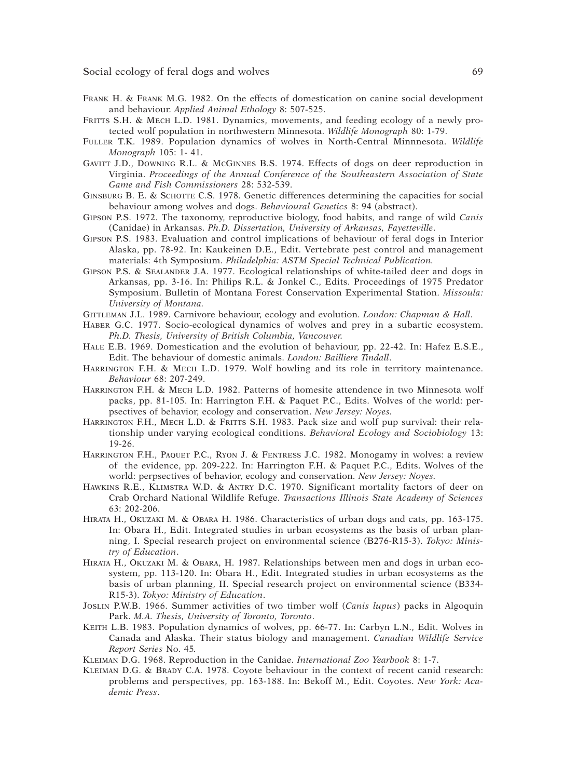- FRANK H. & FRANK M.G. 1982. On the effects of domestication on canine social development and behaviour. *Applied Animal Ethology* 8: 507-525.
- FRITTS S.H. & MECH L.D. 1981. Dynamics, movements, and feeding ecology of a newly protected wolf population in northwestern Minnesota. *Wildlife Monograph* 80: 1-79.
- FULLER T.K. 1989. Population dynamics of wolves in North-Central Minnnesota. *Wildlife Monograph* 105: 1- 41.
- GAVITT J.D., DOWNING R.L. & MCGINNES B.S. 1974. Effects of dogs on deer reproduction in Virginia. *Proceedings of the Annual Conference of the Southeastern Association of State Game and Fish Commissioners* 28: 532-539.
- GINSBURG B. E. & SCHOTTE C.S. 1978. Genetic differences determining the capacities for social behaviour among wolves and dogs. *Behavioural Genetics* 8: 94 (abstract).
- GIPSON P.S. 1972. The taxonomy, reproductive biology, food habits, and range of wild *Canis* (Canidae) in Arkansas. *Ph.D. Dissertation, University of Arkansas, Fayetteville*.
- GIPSON P.S. 1983. Evaluation and control implications of behaviour of feral dogs in Interior Alaska, pp. 78-92. In: Kaukeinen D.E., Edit. Vertebrate pest control and management materials: 4th Symposium. *Philadelphia: ASTM Special Technical Publication.*
- GIPSON P.S. & SEALANDER J.A. 1977. Ecological relationships of white-tailed deer and dogs in Arkansas, pp. 3-16. In: Philips R.L. & Jonkel C., Edits. Proceedings of 1975 Predator Symposium. Bulletin of Montana Forest Conservation Experimental Station. *Missoula: University of Montana.*
- GITTLEMAN J.L. 1989. Carnivore behaviour, ecology and evolution. *London: Chapman & Hall*.
- HABER G.C. 1977. Socio-ecological dynamics of wolves and prey in a subartic ecosystem. *Ph.D. Thesis, University of British Columbia, Vancouver.*
- HALE E.B. 1969. Domestication and the evolution of behaviour, pp. 22-42. In: Hafez E.S.E., Edit. The behaviour of domestic animals. *London: Bailliere Tindall*.
- HARRINGTON F.H. & MECH L.D. 1979. Wolf howling and its role in territory maintenance. *Behaviour* 68: 207-249.
- HARRINGTON F.H. & MECH L.D. 1982. Patterns of homesite attendence in two Minnesota wolf packs, pp. 81-105. In: Harrington F.H. & Paquet P.C., Edits. Wolves of the world: perpsectives of behavior, ecology and conservation. *New Jersey: Noyes.*
- HARRINGTON F.H., MECH L.D. & FRITTS S.H. 1983. Pack size and wolf pup survival: their relationship under varying ecological conditions. *Behavioral Ecology and Sociobiology* 13: 19-26.
- HARRINGTON F.H., PAQUET P.C., RYON J. & FENTRESS J.C. 1982. Monogamy in wolves: a review of the evidence, pp. 209-222. In: Harrington F.H. & Paquet P.C., Edits. Wolves of the world: perpsectives of behavior, ecology and conservation. *New Jersey: Noyes.*
- HAWKINS R.E., KLIMSTRA W.D. & ANTRY D.C. 1970. Significant mortality factors of deer on Crab Orchard National Wildlife Refuge. *Transactions Illinois State Academy of Sciences* 63: 202-206.
- HIRATA H., OKUZAKI M. & OBARA H. 1986. Characteristics of urban dogs and cats, pp. 163-175. In: Obara H., Edit. Integrated studies in urban ecosystems as the basis of urban planning, I. Special research project on environmental science (B276-R15-3). *Tokyo: Ministry of Education*.
- HIRATA H., OKUZAKI M. & OBARA, H. 1987. Relationships between men and dogs in urban ecosystem, pp. 113-120. In: Obara H., Edit. Integrated studies in urban ecosystems as the basis of urban planning, II. Special research project on environmental science (B334- R15-3). *Tokyo: Ministry of Education*.
- JOSLIN P.W.B. 1966. Summer activities of two timber wolf (*Canis lupus*) packs in Algoquin Park. *M.A. Thesis, University of Toronto, Toronto*.
- KEITH L.B. 1983. Population dynamics of wolves, pp. 66-77. In: Carbyn L.N., Edit. Wolves in Canada and Alaska. Their status biology and management. *Canadian Wildlife Service Report Series* No. 45*.*
- KLEIMAN D.G. 1968. Reproduction in the Canidae. *International Zoo Yearbook* 8: 1-7.
- KLEIMAN D.G. & BRADY C.A. 1978. Coyote behaviour in the context of recent canid research: problems and perspectives, pp. 163-188. In: Bekoff M., Edit. Coyotes. *New York: Academic Press*.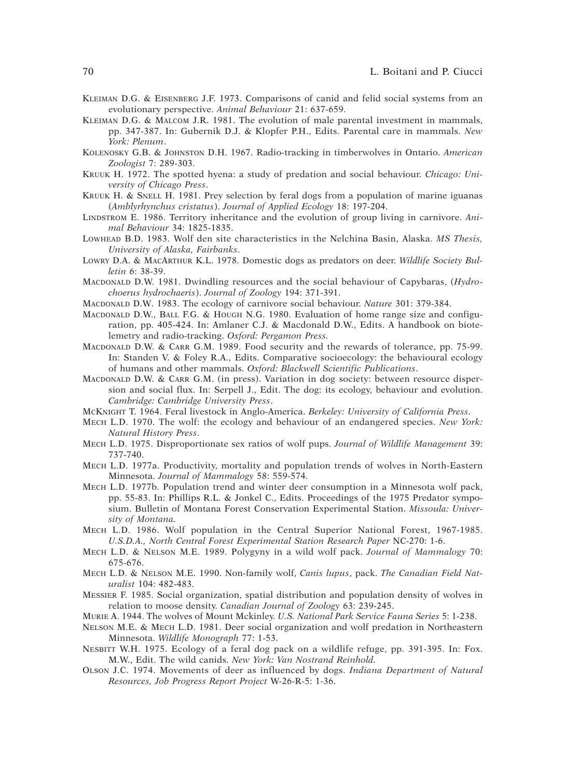- KLEIMAN D.G. & EISENBERG J.F. 1973. Comparisons of canid and felid social systems from an evolutionary perspective. *Animal Behaviour* 21: 637-659.
- KLEIMAN D.G. & MALCOM J.R. 1981. The evolution of male parental investment in mammals, pp. 347-387. In: Gubernik D.J. & Klopfer P.H., Edits. Parental care in mammals. *New York: Plenum*.
- KOLENOSKY G.B. & JOHNSTON D.H. 1967. Radio-tracking in timberwolves in Ontario. *American Zoologist* 7: 289-303.
- KRUUK H. 1972. The spotted hyena: a study of predation and social behaviour. *Chicago: University of Chicago Press*.
- KRUUK H. & SNELL H. 1981. Prey selection by feral dogs from a population of marine iguanas (*Amblyrhynchus cristatus*). *Journal of Applied Ecology* 18: 197-204.
- LINDSTROM E. 1986. Territory inheritance and the evolution of group living in carnivore. *Animal Behaviour* 34: 1825-1835.
- LOWHEAD B.D. 1983. Wolf den site characteristics in the Nelchina Basin, Alaska. *MS Thesis, University of Alaska, Fairbanks*.
- LOWRY D.A. & MACARTHUR K.L. 1978. Domestic dogs as predators on deer. *Wildlife Society Bulletin* 6: 38-39.
- MACDONALD D.W. 1981. Dwindling resources and the social behaviour of Capybaras, (*Hydrochoerus hydrochaeris*). *Journal of Zoology* 194: 371-391.
- MACDONALD D.W. 1983. The ecology of carnivore social behaviour. *Nature* 301: 379-384.
- MACDONALD D.W., BALL F.G. & HOUGH N.G. 1980. Evaluation of home range size and configuration, pp. 405-424. In: Amlaner C.J. & Macdonald D.W., Edits. A handbook on biotelemetry and radio-tracking. *Oxford: Pergamon Press.*
- MACDONALD D.W. & CARR G.M. 1989. Food security and the rewards of tolerance, pp. 75-99. In: Standen V. & Foley R.A., Edits. Comparative socioecology: the behavioural ecology of humans and other mammals. *Oxford: Blackwell Scientific Publications*.
- MACDONALD D.W. & CARR G.M. (in press). Variation in dog society: between resource dispersion and social flux. In: Serpell J., Edit. The dog: its ecology, behaviour and evolution. *Cambridge: Cambridge University Press*.
- MCKNIGHT T. 1964. Feral livestock in Anglo-America. *Berkeley: University of California Press*.
- MECH L.D. 1970. The wolf: the ecology and behaviour of an endangered species. *New York: Natural History Press*.
- MECH L.D. 1975. Disproportionate sex ratios of wolf pups. *Journal of Wildlife Management* 39: 737-740.
- MECH L.D. 1977a. Productivity, mortality and population trends of wolves in North-Eastern Minnesota. *Journal of Mammalogy* 58: 559-574.
- MECH L.D. 1977b. Population trend and winter deer consumption in a Minnesota wolf pack, pp. 55-83. In: Phillips R.L. & Jonkel C., Edits. Proceedings of the 1975 Predator symposium. Bulletin of Montana Forest Conservation Experimental Station. *Missoula: University of Montana.*
- MECH L.D. 1986. Wolf population in the Central Superior National Forest, 1967-1985. *U.S.D.A., North Central Forest Experimental Station Research Paper* NC-270: 1-6.
- MECH L.D. & NELSON M.E. 1989. Polygyny in a wild wolf pack. *Journal of Mammalogy* 70: 675-676.
- MECH L.D. & NELSON M.E. 1990. Non-family wolf, *Canis lupus*, pack. *The Canadian Field Naturalist* 104: 482-483.
- MESSIER F. 1985. Social organization, spatial distribution and population density of wolves in relation to moose density. *Canadian Journal of Zoology* 63: 239-245.
- MURIE A. 1944. The wolves of Mount Mckinley. *U.S. National Park Service Fauna Series* 5: 1-238.
- NELSON M.E. & MECH L.D. 1981. Deer social organization and wolf predation in Northeastern Minnesota. *Wildlife Monograph* 77: 1-53.
- NESBITT W.H. 1975. Ecology of a feral dog pack on a wildlife refuge, pp. 391-395. In: Fox. M.W., Edit. The wild canids. *New York: Van Nostrand Reinhold.*
- OLSON J.C. 1974. Movements of deer as influenced by dogs. *Indiana Department of Natural Resources, Job Progress Report Project* W-26-R-5: 1-36.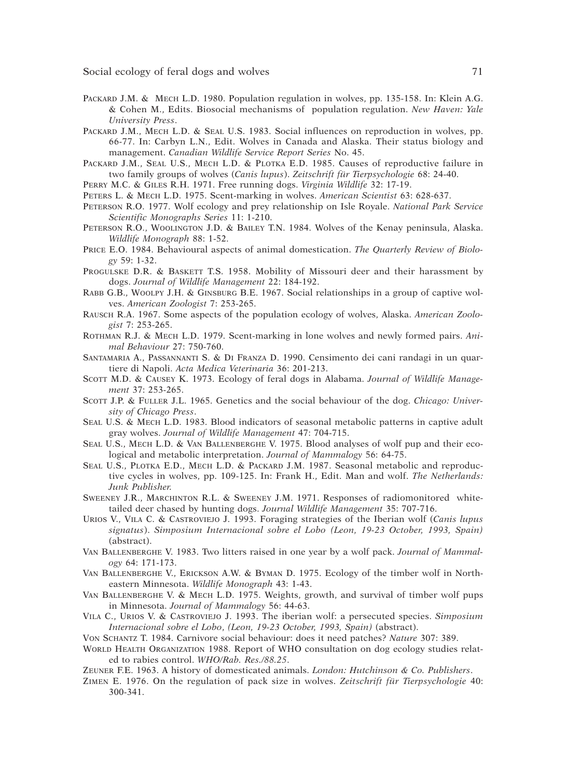- PACKARD J.M. & MECH L.D. 1980. Population regulation in wolves, pp. 135-158. In: Klein A.G. & Cohen M., Edits. Biosocial mechanisms of population regulation. *New Haven: Yale University Press*.
- PACKARD J.M., MECH L.D. & SEAL U.S. 1983. Social influences on reproduction in wolves, pp. 66-77. In: Carbyn L.N., Edit. Wolves in Canada and Alaska. Their status biology and management. *Canadian Wildlife Service Report Series* No. 45.
- PACKARD J.M., SEAL U.S., MECH L.D. & PLOTKA E.D. 1985. Causes of reproductive failure in two family groups of wolves (*Canis lupus*). *Zeitschrift für Tierpsychologie* 68: 24-40.
- PERRY M.C. & GILES R.H. 1971. Free running dogs. *Virginia Wildlife* 32: 17-19.
- PETERS L. & MECH L.D. 1975. Scent-marking in wolves. *American Scientist* 63: 628-637.
- PETERSON R.O. 1977. Wolf ecology and prey relationship on Isle Royale. *National Park Service Scientific Monographs Series* 11: 1-210.
- PETERSON R.O., WOOLINGTON J.D. & BAILEY T.N. 1984. Wolves of the Kenay peninsula, Alaska. *Wildlife Monograph* 88: 1-52.
- PRICE E.O. 1984. Behavioural aspects of animal domestication. *The Quarterly Review of Biology* 59: 1-32.
- PROGULSKE D.R. & BASKETT T.S. 1958. Mobility of Missouri deer and their harassment by dogs. *Journal of Wildlife Management* 22: 184-192.
- RABB G.B., WOOLPY J.H. & GINSBURG B.E. 1967. Social relationships in a group of captive wolves. *American Zoologist* 7: 253-265.
- RAUSCH R.A. 1967. Some aspects of the population ecology of wolves, Alaska. *American Zoologist* 7: 253-265.
- ROTHMAN R.J. & MECH L.D. 1979. Scent-marking in lone wolves and newly formed pairs. *Animal Behaviour* 27: 750-760.
- SANTAMARIA A., PASSANNANTI S. & DI FRANZA D. 1990. Censimento dei cani randagi in un quartiere di Napoli. *Acta Medica Veterinaria* 36: 201-213.
- SCOTT M.D. & CAUSEY K. 1973. Ecology of feral dogs in Alabama. *Journal of Wildlife Management* 37: 253-265.
- SCOTT J.P. & FULLER J.L. 1965. Genetics and the social behaviour of the dog. *Chicago: University of Chicago Press*.
- SEAL U.S. & MECH L.D. 1983. Blood indicators of seasonal metabolic patterns in captive adult gray wolves. *Journal of Wildlife Management* 47: 704-715.
- SEAL U.S., MECH L.D. & VAN BALLENBERGHE V. 1975. Blood analyses of wolf pup and their ecological and metabolic interpretation. *Journal of Mammalogy* 56: 64-75.
- SEAL U.S., PLOTKA E.D., MECH L.D. & PACKARD J.M. 1987. Seasonal metabolic and reproductive cycles in wolves, pp. 109-125. In: Frank H., Edit. Man and wolf. *The Netherlands: Junk Publisher.*
- SWEENEY J.R., MARCHINTON R.L. & SWEENEY J.M. 1971. Responses of radiomonitored whitetailed deer chased by hunting dogs. *Journal Wildlife Management* 35: 707-716.
- URIOS V., VILA C. & CASTROVIEJO J. 1993. Foraging strategies of the Iberian wolf (*Canis lupus signatus*). *Simposium Internacional sobre el Lobo (Leon, 19-23 October, 1993, Spain)* (abstract).
- VAN BALLENBERGHE V. 1983. Two litters raised in one year by a wolf pack. *Journal of Mammalogy* 64: 171-173.
- VAN BALLENBERGHE V., ERICKSON A.W. & BYMAN D. 1975. Ecology of the timber wolf in Northeastern Minnesota. *Wildlife Monograph* 43: 1-43.
- VAN BALLENBERGHE V. & MECH L.D. 1975. Weights, growth, and survival of timber wolf pups in Minnesota. *Journal of Mammalogy* 56: 44-63.
- VILA C., URIOS V. & CASTROVIEJO J. 1993. The iberian wolf: a persecuted species. *Simposium Internacional sobre el Lobo*, *(Leon, 19-23 October, 1993, Spain)* (abstract).
- VON SCHANTZ T. 1984. Carnivore social behaviour: does it need patches? *Nature* 307: 389.
- WORLD HEALTH ORGANIZATION 1988. Report of WHO consultation on dog ecology studies related to rabies control. *WHO/Rab. Res./88.25*.
- ZEUNER F.E. 1963. A history of domesticated animals. *London: Hutchinson & Co. Publishers*.
- ZIMEN E. 1976. On the regulation of pack size in wolves. *Zeitschrift für Tierpsychologie* 40: 300-341.